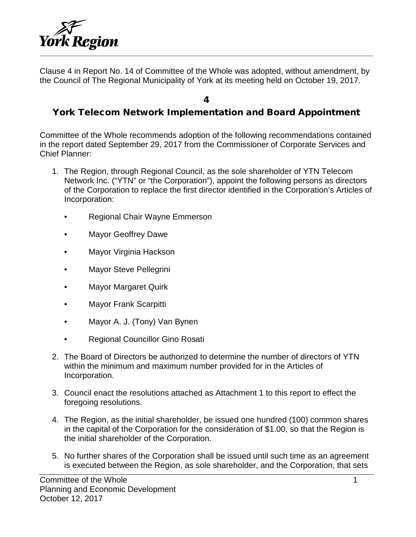

Clause 4 in Report No. 14 of Committee of the Whole was adopted, without amendment, by the Council of The Regional Municipality of York at its meeting held on October 19, 2017.

# 4

# York Telecom Network Implementation and Board Appointment

Committee of the Whole recommends adoption of the following recommendations contained in the report dated September 29, 2017 from the Commissioner of Corporate Services and Chief Planner:

- 1. The Region, through Regional Council, as the sole shareholder of YTN Telecom Network Inc. ("YTN" or "the Corporation"), appoint the following persons as directors of the Corporation to replace the first director identified in the Corporation's Articles of Incorporation:
	- Regional Chair Wayne Emmerson
	- Mayor Geoffrey Dawe
	- Mayor Virginia Hackson
	- Mayor Steve Pellegrini
	- Mayor Margaret Quirk
	- Mayor Frank Scarpitti
	- Mayor A. J. (Tony) Van Bynen
	- Regional Councillor Gino Rosati
- 2. The Board of Directors be authorized to determine the number of directors of YTN within the minimum and maximum number provided for in the Articles of Incorporation.
- 3. Council enact the resolutions attached as Attachment 1 to this report to effect the foregoing resolutions.
- 4. The Region, as the initial shareholder, be issued one hundred (100) common shares in the capital of the Corporation for the consideration of \$1.00, so that the Region is the initial shareholder of the Corporation.
- 5. No further shares of the Corporation shall be issued until such time as an agreement is executed between the Region, as sole shareholder, and the Corporation, that sets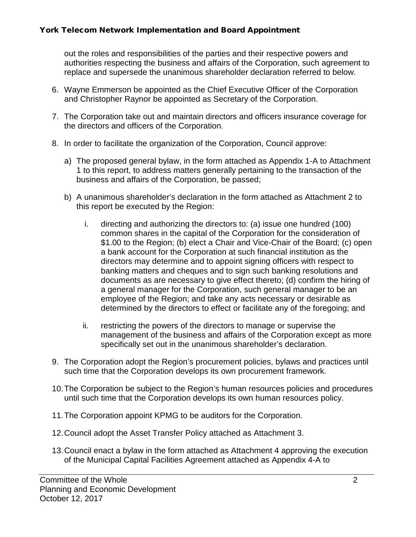out the roles and responsibilities of the parties and their respective powers and authorities respecting the business and affairs of the Corporation, such agreement to replace and supersede the unanimous shareholder declaration referred to below.

- 6. Wayne Emmerson be appointed as the Chief Executive Officer of the Corporation and Christopher Raynor be appointed as Secretary of the Corporation.
- 7. The Corporation take out and maintain directors and officers insurance coverage for the directors and officers of the Corporation.
- 8. In order to facilitate the organization of the Corporation, Council approve:
	- a) The proposed general bylaw, in the form attached as Appendix 1-A to Attachment 1 to this report, to address matters generally pertaining to the transaction of the business and affairs of the Corporation, be passed;
	- b) A unanimous shareholder's declaration in the form attached as Attachment 2 to this report be executed by the Region:
		- i. directing and authorizing the directors to: (a) issue one hundred (100) common shares in the capital of the Corporation for the consideration of \$1.00 to the Region; (b) elect a Chair and Vice-Chair of the Board; (c) open a bank account for the Corporation at such financial institution as the directors may determine and to appoint signing officers with respect to banking matters and cheques and to sign such banking resolutions and documents as are necessary to give effect thereto; (d) confirm the hiring of a general manager for the Corporation, such general manager to be an employee of the Region; and take any acts necessary or desirable as determined by the directors to effect or facilitate any of the foregoing; and
		- ii. restricting the powers of the directors to manage or supervise the management of the business and affairs of the Corporation except as more specifically set out in the unanimous shareholder's declaration.
- 9. The Corporation adopt the Region's procurement policies, bylaws and practices until such time that the Corporation develops its own procurement framework.
- 10.The Corporation be subject to the Region's human resources policies and procedures until such time that the Corporation develops its own human resources policy.
- 11.The Corporation appoint KPMG to be auditors for the Corporation.
- 12.Council adopt the Asset Transfer Policy attached as Attachment 3.
- 13.Council enact a bylaw in the form attached as Attachment 4 approving the execution of the Municipal Capital Facilities Agreement attached as Appendix 4-A to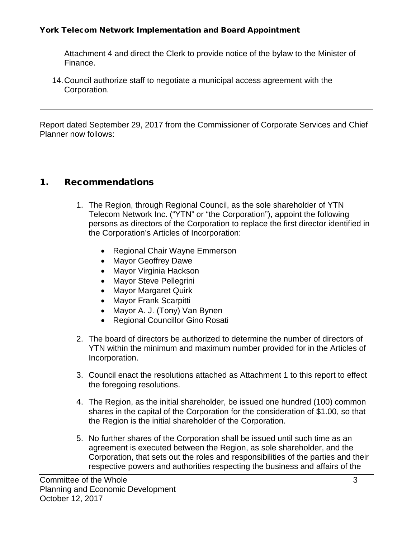Attachment 4 and direct the Clerk to provide notice of the bylaw to the Minister of Finance.

14.Council authorize staff to negotiate a municipal access agreement with the Corporation.

Report dated September 29, 2017 from the Commissioner of Corporate Services and Chief Planner now follows:

# 1. Recommendations

- 1. The Region, through Regional Council, as the sole shareholder of YTN Telecom Network Inc. ("YTN" or "the Corporation"), appoint the following persons as directors of the Corporation to replace the first director identified in the Corporation's Articles of Incorporation:
	- Regional Chair Wayne Emmerson
	- Mayor Geoffrey Dawe
	- Mayor Virginia Hackson
	- Mayor Steve Pellegrini
	- Mayor Margaret Quirk
	- Mayor Frank Scarpitti
	- Mayor A. J. (Tony) Van Bynen
	- Regional Councillor Gino Rosati
- 2. The board of directors be authorized to determine the number of directors of YTN within the minimum and maximum number provided for in the Articles of Incorporation.
- 3. Council enact the resolutions attached as Attachment 1 to this report to effect the foregoing resolutions.
- 4. The Region, as the initial shareholder, be issued one hundred (100) common shares in the capital of the Corporation for the consideration of \$1.00, so that the Region is the initial shareholder of the Corporation.
- 5. No further shares of the Corporation shall be issued until such time as an agreement is executed between the Region, as sole shareholder, and the Corporation, that sets out the roles and responsibilities of the parties and their respective powers and authorities respecting the business and affairs of the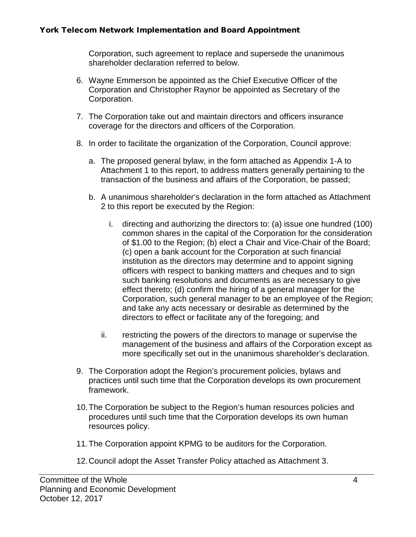Corporation, such agreement to replace and supersede the unanimous shareholder declaration referred to below.

- 6. Wayne Emmerson be appointed as the Chief Executive Officer of the Corporation and Christopher Raynor be appointed as Secretary of the Corporation.
- 7. The Corporation take out and maintain directors and officers insurance coverage for the directors and officers of the Corporation.
- 8. In order to facilitate the organization of the Corporation, Council approve:
	- a. The proposed general bylaw, in the form attached as Appendix 1-A to Attachment 1 to this report, to address matters generally pertaining to the transaction of the business and affairs of the Corporation, be passed;
	- b. A unanimous shareholder's declaration in the form attached as Attachment 2 to this report be executed by the Region:
		- i. directing and authorizing the directors to: (a) issue one hundred (100) common shares in the capital of the Corporation for the consideration of \$1.00 to the Region; (b) elect a Chair and Vice-Chair of the Board; (c) open a bank account for the Corporation at such financial institution as the directors may determine and to appoint signing officers with respect to banking matters and cheques and to sign such banking resolutions and documents as are necessary to give effect thereto; (d) confirm the hiring of a general manager for the Corporation, such general manager to be an employee of the Region; and take any acts necessary or desirable as determined by the directors to effect or facilitate any of the foregoing; and
		- ii. restricting the powers of the directors to manage or supervise the management of the business and affairs of the Corporation except as more specifically set out in the unanimous shareholder's declaration.
- 9. The Corporation adopt the Region's procurement policies, bylaws and practices until such time that the Corporation develops its own procurement framework.
- 10.The Corporation be subject to the Region's human resources policies and procedures until such time that the Corporation develops its own human resources policy.
- 11.The Corporation appoint KPMG to be auditors for the Corporation.
- 12.Council adopt the Asset Transfer Policy attached as Attachment 3.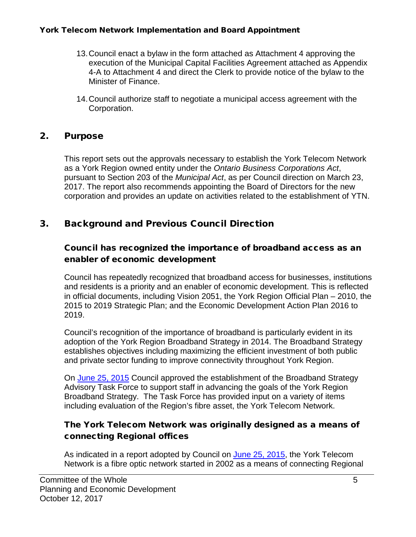- 13.Council enact a bylaw in the form attached as Attachment 4 approving the execution of the Municipal Capital Facilities Agreement attached as Appendix 4-A to Attachment 4 and direct the Clerk to provide notice of the bylaw to the Minister of Finance.
- 14.Council authorize staff to negotiate a municipal access agreement with the Corporation.

## 2. Purpose

This report sets out the approvals necessary to establish the York Telecom Network as a York Region owned entity under the *Ontario Business Corporations Act*, pursuant to Section 203 of the *Municipal Act*, as per Council direction on March 23, 2017. The report also recommends appointing the Board of Directors for the new corporation and provides an update on activities related to the establishment of YTN.

# 3. Background and Previous Council Direction

# Council has recognized the importance of broadband access as an enabler of economic development

Council has repeatedly recognized that broadband access for businesses, institutions and residents is a priority and an enabler of economic development. This is reflected in official documents, including Vision 2051, the York Region Official Plan – 2010, the 2015 to 2019 Strategic Plan; and the Economic Development Action Plan 2016 to 2019.

Council's recognition of the importance of broadband is particularly evident in its adoption of the York Region Broadband Strategy in 2014. The Broadband Strategy establishes objectives including maximizing the efficient investment of both public and private sector funding to improve connectivity throughout York Region.

On June [25, 2015](http://www.york.ca/wps/wcm/connect/yorkpublic/69284318-7ab9-4a12-ab26-4f6912f45264/jun+11+broadband+ex.pdf?MOD=AJPERES) Council approved the establishment of the Broadband Strategy Advisory Task Force to support staff in advancing the goals of the York Region Broadband Strategy. The Task Force has provided input on a variety of items including evaluation of the Region's fibre asset, the York Telecom Network.

# The York Telecom Network was originally designed as a means of connecting Regional offices

As indicated in a report adopted by Council on [June 25, 2015,](http://www.york.ca/wps/wcm/connect/yorkpublic/9185f29e-f93b-4764-8e55-569fac19aaac/jun+18+telecom+ex.pdf?MOD=AJPERES) the York Telecom Network is a fibre optic network started in 2002 as a means of connecting Regional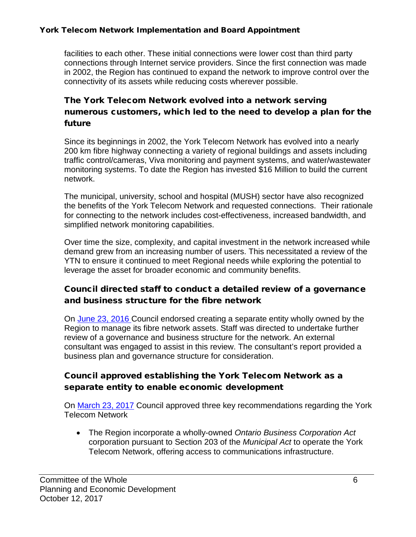facilities to each other. These initial connections were lower cost than third party connections through Internet service providers. Since the first connection was made in 2002, the Region has continued to expand the network to improve control over the connectivity of its assets while reducing costs wherever possible.

# The York Telecom Network evolved into a network serving numerous customers, which led to the need to develop a plan for the future

Since its beginnings in 2002, the York Telecom Network has evolved into a nearly 200 km fibre highway connecting a variety of regional buildings and assets including traffic control/cameras, Viva monitoring and payment systems, and water/wastewater monitoring systems. To date the Region has invested \$16 Million to build the current network.

The municipal, university, school and hospital (MUSH) sector have also recognized the benefits of the York Telecom Network and requested connections. Their rationale for connecting to the network includes cost-effectiveness, increased bandwidth, and simplified network monitoring capabilities.

Over time the size, complexity, and capital investment in the network increased while demand grew from an increasing number of users. This necessitated a review of the YTN to ensure it continued to meet Regional needs while exploring the potential to leverage the asset for broader economic and community benefits.

# Council directed staff to conduct a detailed review of a governance and business structure for the fibre network

On [June 23, 2016](http://www.york.ca/wps/wcm/connect/yorkpublic/10699513-9e15-416b-a692-06886179fe77/jun+16+telecom+ex.pdf?MOD=AJPERES) Council endorsed creating a separate entity wholly owned by the Region to manage its fibre network assets. Staff was directed to undertake further review of a governance and business structure for the network. An external consultant was engaged to assist in this review. The consultant's report provided a business plan and governance structure for consideration.

# Council approved establishing the York Telecom Network as a separate entity to enable economic development

On [March 23, 2017](http://www.york.ca/wps/wcm/connect/yorkpublic/95006532-124c-46a3-9154-61d0921b576a/mar+9+YTN+ex.pdf?MOD=AJPERES) Council approved three key recommendations regarding the York Telecom Network

• The Region incorporate a wholly-owned *Ontario Business Corporation Act* corporation pursuant to Section 203 of the *Municipal Act* to operate the York Telecom Network, offering access to communications infrastructure.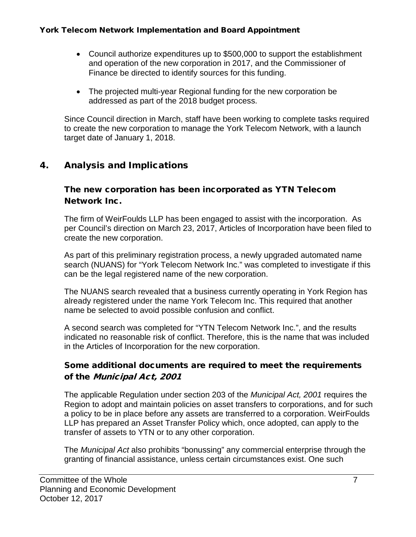- Council authorize expenditures up to \$500,000 to support the establishment and operation of the new corporation in 2017, and the Commissioner of Finance be directed to identify sources for this funding.
- The projected multi-year Regional funding for the new corporation be addressed as part of the 2018 budget process.

Since Council direction in March, staff have been working to complete tasks required to create the new corporation to manage the York Telecom Network, with a launch target date of January 1, 2018.

# 4. Analysis and Implications

# The new corporation has been incorporated as YTN Telecom Network Inc.

The firm of WeirFoulds LLP has been engaged to assist with the incorporation. As per Council's direction on March 23, 2017, Articles of Incorporation have been filed to create the new corporation.

As part of this preliminary registration process, a newly upgraded automated name search (NUANS) for "York Telecom Network Inc." was completed to investigate if this can be the legal registered name of the new corporation.

The NUANS search revealed that a business currently operating in York Region has already registered under the name York Telecom Inc. This required that another name be selected to avoid possible confusion and conflict.

A second search was completed for "YTN Telecom Network Inc.", and the results indicated no reasonable risk of conflict. Therefore, this is the name that was included in the Articles of Incorporation for the new corporation.

# Some additional documents are required to meet the requirements of the Municipal Act, 2001

The applicable Regulation under section 203 of the *Municipal Act, 2001* requires the Region to adopt and maintain policies on asset transfers to corporations, and for such a policy to be in place before any assets are transferred to a corporation. WeirFoulds LLP has prepared an Asset Transfer Policy which, once adopted, can apply to the transfer of assets to YTN or to any other corporation.

The *Municipal Act* also prohibits "bonussing" any commercial enterprise through the granting of financial assistance, unless certain circumstances exist. One such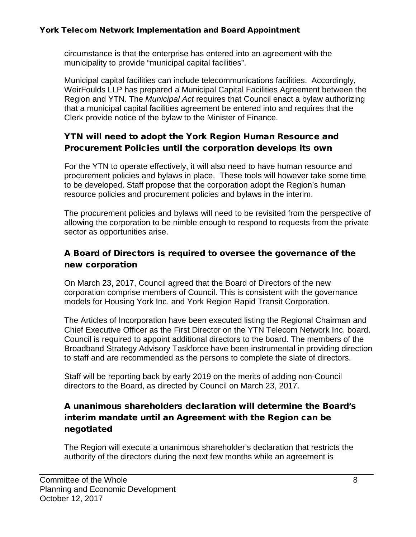circumstance is that the enterprise has entered into an agreement with the municipality to provide "municipal capital facilities".

Municipal capital facilities can include telecommunications facilities. Accordingly, WeirFoulds LLP has prepared a Municipal Capital Facilities Agreement between the Region and YTN. The *Municipal Act* requires that Council enact a bylaw authorizing that a municipal capital facilities agreement be entered into and requires that the Clerk provide notice of the bylaw to the Minister of Finance.

# YTN will need to adopt the York Region Human Resource and Procurement Policies until the corporation develops its own

For the YTN to operate effectively, it will also need to have human resource and procurement policies and bylaws in place. These tools will however take some time to be developed. Staff propose that the corporation adopt the Region's human resource policies and procurement policies and bylaws in the interim.

The procurement policies and bylaws will need to be revisited from the perspective of allowing the corporation to be nimble enough to respond to requests from the private sector as opportunities arise.

# A Board of Directors is required to oversee the governance of the new corporation

On March 23, 2017, Council agreed that the Board of Directors of the new corporation comprise members of Council. This is consistent with the governance models for Housing York Inc. and York Region Rapid Transit Corporation.

The Articles of Incorporation have been executed listing the Regional Chairman and Chief Executive Officer as the First Director on the YTN Telecom Network Inc. board. Council is required to appoint additional directors to the board. The members of the Broadband Strategy Advisory Taskforce have been instrumental in providing direction to staff and are recommended as the persons to complete the slate of directors.

Staff will be reporting back by early 2019 on the merits of adding non-Council directors to the Board, as directed by Council on March 23, 2017.

# A unanimous shareholders declaration will determine the Board's interim mandate until an Agreement with the Region can be negotiated

The Region will execute a unanimous shareholder's declaration that restricts the authority of the directors during the next few months while an agreement is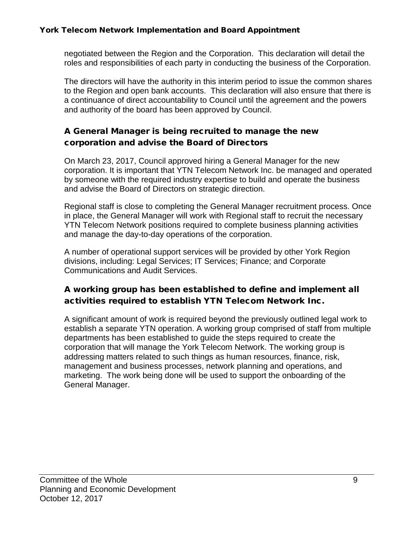negotiated between the Region and the Corporation. This declaration will detail the roles and responsibilities of each party in conducting the business of the Corporation.

The directors will have the authority in this interim period to issue the common shares to the Region and open bank accounts. This declaration will also ensure that there is a continuance of direct accountability to Council until the agreement and the powers and authority of the board has been approved by Council.

## A General Manager is being recruited to manage the new corporation and advise the Board of Directors

On March 23, 2017, Council approved hiring a General Manager for the new corporation. It is important that YTN Telecom Network Inc. be managed and operated by someone with the required industry expertise to build and operate the business and advise the Board of Directors on strategic direction.

Regional staff is close to completing the General Manager recruitment process. Once in place, the General Manager will work with Regional staff to recruit the necessary YTN Telecom Network positions required to complete business planning activities and manage the day-to-day operations of the corporation.

A number of operational support services will be provided by other York Region divisions, including: Legal Services; IT Services; Finance; and Corporate Communications and Audit Services.

# A working group has been established to define and implement all activities required to establish YTN Telecom Network Inc.

A significant amount of work is required beyond the previously outlined legal work to establish a separate YTN operation. A working group comprised of staff from multiple departments has been established to guide the steps required to create the corporation that will manage the York Telecom Network. The working group is addressing matters related to such things as human resources, finance, risk, management and business processes, network planning and operations, and marketing. The work being done will be used to support the onboarding of the General Manager.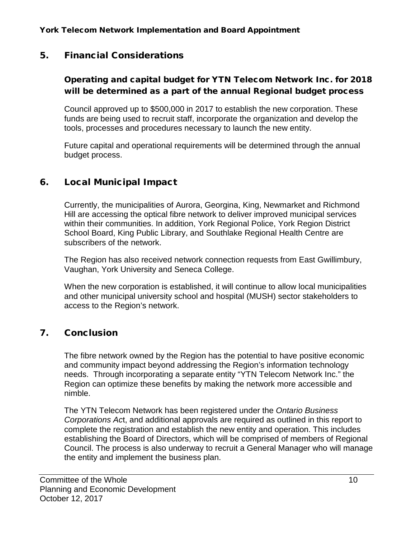# 5. Financial Considerations

# Operating and capital budget for YTN Telecom Network Inc. for 2018 will be determined as a part of the annual Regional budget process

Council approved up to \$500,000 in 2017 to establish the new corporation. These funds are being used to recruit staff, incorporate the organization and develop the tools, processes and procedures necessary to launch the new entity.

Future capital and operational requirements will be determined through the annual budget process.

# 6. Local Municipal Impact

Currently, the municipalities of Aurora, Georgina, King, Newmarket and Richmond Hill are accessing the optical fibre network to deliver improved municipal services within their communities. In addition, York Regional Police, York Region District School Board, King Public Library, and Southlake Regional Health Centre are subscribers of the network.

The Region has also received network connection requests from East Gwillimbury, Vaughan, York University and Seneca College.

When the new corporation is established, it will continue to allow local municipalities and other municipal university school and hospital (MUSH) sector stakeholders to access to the Region's network.

# 7. Conclusion

The fibre network owned by the Region has the potential to have positive economic and community impact beyond addressing the Region's information technology needs. Through incorporating a separate entity "YTN Telecom Network Inc." the Region can optimize these benefits by making the network more accessible and nimble.

The YTN Telecom Network has been registered under the *Ontario Business Corporations Ac*t, and additional approvals are required as outlined in this report to complete the registration and establish the new entity and operation. This includes establishing the Board of Directors, which will be comprised of members of Regional Council. The process is also underway to recruit a General Manager who will manage the entity and implement the business plan.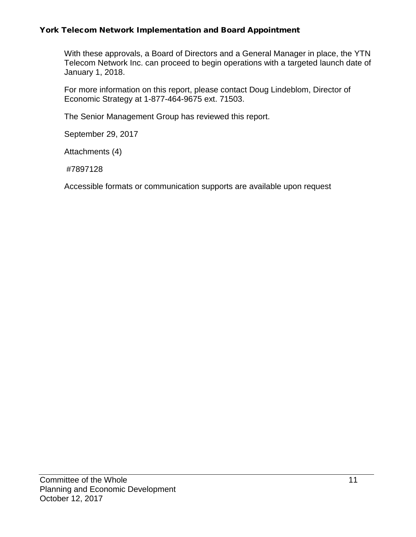With these approvals, a Board of Directors and a General Manager in place, the YTN Telecom Network Inc. can proceed to begin operations with a targeted launch date of January 1, 2018.

For more information on this report, please contact Doug Lindeblom, Director of Economic Strategy at 1-877-464-9675 ext. 71503.

The Senior Management Group has reviewed this report.

September 29, 2017

Attachments (4)

#7897128

Accessible formats or communication supports are available upon request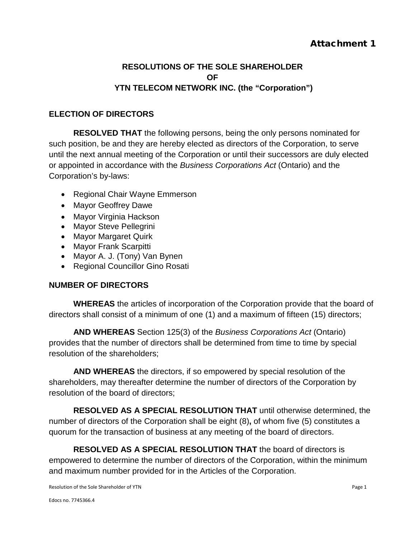# Attachment 1

## **RESOLUTIONS OF THE SOLE SHAREHOLDER OF YTN TELECOM NETWORK INC. (the "Corporation")**

### **ELECTION OF DIRECTORS**

**RESOLVED THAT** the following persons, being the only persons nominated for such position, be and they are hereby elected as directors of the Corporation, to serve until the next annual meeting of the Corporation or until their successors are duly elected or appointed in accordance with the *Business Corporations Act* (Ontario) and the Corporation's by-laws:

- Regional Chair Wayne Emmerson
- Mayor Geoffrey Dawe
- Mayor Virginia Hackson
- Mayor Steve Pellegrini
- Mayor Margaret Quirk
- Mayor Frank Scarpitti
- Mayor A. J. (Tony) Van Bynen
- Regional Councillor Gino Rosati

## **NUMBER OF DIRECTORS**

**WHEREAS** the articles of incorporation of the Corporation provide that the board of directors shall consist of a minimum of one (1) and a maximum of fifteen (15) directors;

**AND WHEREAS** Section 125(3) of the *Business Corporations Act* (Ontario) provides that the number of directors shall be determined from time to time by special resolution of the shareholders;

**AND WHEREAS** the directors, if so empowered by special resolution of the shareholders, may thereafter determine the number of directors of the Corporation by resolution of the board of directors;

**RESOLVED AS A SPECIAL RESOLUTION THAT** until otherwise determined, the number of directors of the Corporation shall be eight (8)**,** of whom five (5) constitutes a quorum for the transaction of business at any meeting of the board of directors.

**RESOLVED AS A SPECIAL RESOLUTION THAT** the board of directors is empowered to determine the number of directors of the Corporation, within the minimum and maximum number provided for in the Articles of the Corporation.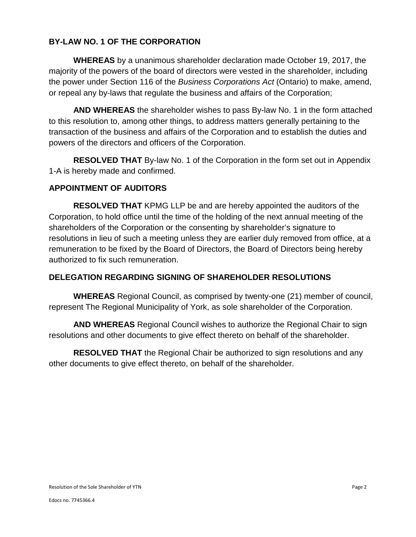## **BY-LAW NO. 1 OF THE CORPORATION**

**WHEREAS** by a unanimous shareholder declaration made October 19, 2017, the majority of the powers of the board of directors were vested in the shareholder, including the power under Section 116 of the *Business Corporations Act* (Ontario) to make, amend, or repeal any by-laws that regulate the business and affairs of the Corporation;

**AND WHEREAS** the shareholder wishes to pass By-law No. 1 in the form attached to this resolution to, among other things, to address matters generally pertaining to the transaction of the business and affairs of the Corporation and to establish the duties and powers of the directors and officers of the Corporation.

**RESOLVED THAT** By-law No. 1 of the Corporation in the form set out in Appendix 1-A is hereby made and confirmed.

### **APPOINTMENT OF AUDITORS**

**RESOLVED THAT** KPMG LLP be and are hereby appointed the auditors of the Corporation, to hold office until the time of the holding of the next annual meeting of the shareholders of the Corporation or the consenting by shareholder's signature to resolutions in lieu of such a meeting unless they are earlier duly removed from office, at a remuneration to be fixed by the Board of Directors, the Board of Directors being hereby authorized to fix such remuneration.

### **DELEGATION REGARDING SIGNING OF SHAREHOLDER RESOLUTIONS**

**WHEREAS** Regional Council, as comprised by twenty-one (21) member of council, represent The Regional Municipality of York, as sole shareholder of the Corporation.

**AND WHEREAS** Regional Council wishes to authorize the Regional Chair to sign resolutions and other documents to give effect thereto on behalf of the shareholder.

**RESOLVED THAT** the Regional Chair be authorized to sign resolutions and any other documents to give effect thereto, on behalf of the shareholder.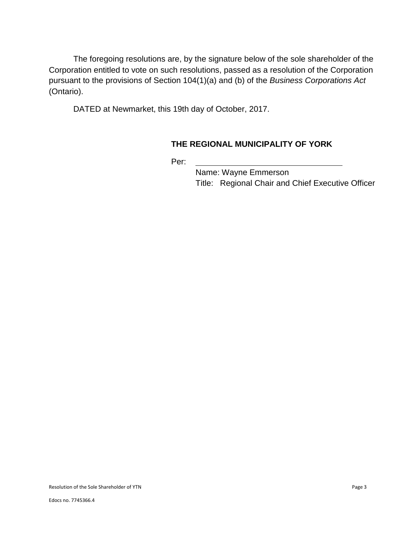The foregoing resolutions are, by the signature below of the sole shareholder of the Corporation entitled to vote on such resolutions, passed as a resolution of the Corporation pursuant to the provisions of Section 104(1)(a) and (b) of the *Business Corporations Act* (Ontario).

DATED at Newmarket, this 19th day of October, 2017.

## **THE REGIONAL MUNICIPALITY OF YORK**

Per:

Name: Wayne Emmerson Title: Regional Chair and Chief Executive Officer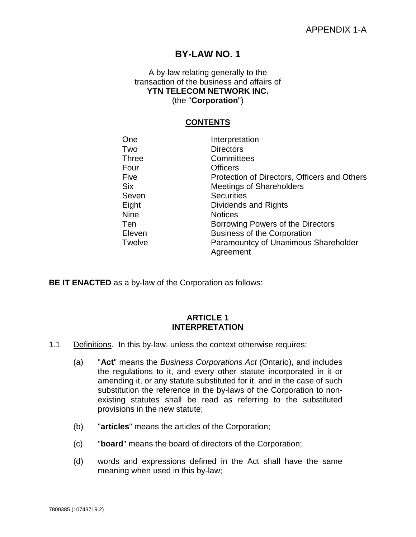## **BY-LAW NO. 1**

### A by-law relating generally to the transaction of the business and affairs of **YTN TELECOM NETWORK INC.** (the "**Corporation**")

#### **CONTENTS**

| One          | Interpretation                               |
|--------------|----------------------------------------------|
| Two          | <b>Directors</b>                             |
| <b>Three</b> | Committees                                   |
| Four         | <b>Officers</b>                              |
| Five         | Protection of Directors, Officers and Others |
| <b>Six</b>   | <b>Meetings of Shareholders</b>              |
| Seven        | <b>Securities</b>                            |
| Eight        | Dividends and Rights                         |
| <b>Nine</b>  | <b>Notices</b>                               |
| Ten          | Borrowing Powers of the Directors            |
| Eleven       | <b>Business of the Corporation</b>           |
| Twelve       | Paramountcy of Unanimous Shareholder         |
|              | Agreement                                    |

**BE IT ENACTED** as a by-law of the Corporation as follows:

#### **ARTICLE 1 INTERPRETATION**

- 1.1 Definitions. In this by-law, unless the context otherwise requires:
	- (a) "**Act**" means the *Business Corporations Act* (Ontario), and includes the regulations to it, and every other statute incorporated in it or amending it, or any statute substituted for it, and in the case of such substitution the reference in the by-laws of the Corporation to nonexisting statutes shall be read as referring to the substituted provisions in the new statute;
	- (b) "**articles**" means the articles of the Corporation;
	- (c) "**board**" means the board of directors of the Corporation;
	- (d) words and expressions defined in the Act shall have the same meaning when used in this by-law;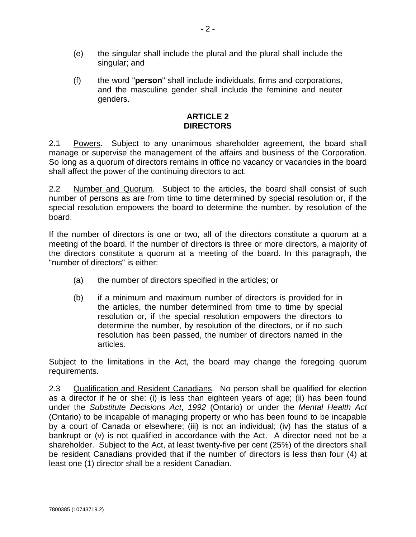- (e) the singular shall include the plural and the plural shall include the singular; and
- (f) the word "**person**" shall include individuals, firms and corporations, and the masculine gender shall include the feminine and neuter genders.

#### **ARTICLE 2 DIRECTORS**

2.1 Powers. Subject to any unanimous shareholder agreement, the board shall manage or supervise the management of the affairs and business of the Corporation. So long as a quorum of directors remains in office no vacancy or vacancies in the board shall affect the power of the continuing directors to act.

2.2 Number and Quorum. Subject to the articles, the board shall consist of such number of persons as are from time to time determined by special resolution or, if the special resolution empowers the board to determine the number, by resolution of the board.

If the number of directors is one or two, all of the directors constitute a quorum at a meeting of the board. If the number of directors is three or more directors, a majority of the directors constitute a quorum at a meeting of the board. In this paragraph, the "number of directors" is either:

- (a) the number of directors specified in the articles; or
- (b) if a minimum and maximum number of directors is provided for in the articles, the number determined from time to time by special resolution or, if the special resolution empowers the directors to determine the number, by resolution of the directors, or if no such resolution has been passed, the number of directors named in the articles.

Subject to the limitations in the Act, the board may change the foregoing quorum requirements.

2.3 Qualification and Resident Canadians. No person shall be qualified for election as a director if he or she: (i) is less than eighteen years of age; (ii) has been found under the *Substitute Decisions Act*, *1992* (Ontario) or under the *Mental Health Act* (Ontario) to be incapable of managing property or who has been found to be incapable by a court of Canada or elsewhere; (iii) is not an individual; (iv) has the status of a bankrupt or (v) is not qualified in accordance with the Act. A director need not be a shareholder. Subject to the Act, at least twenty-five per cent (25%) of the directors shall be resident Canadians provided that if the number of directors is less than four (4) at least one (1) director shall be a resident Canadian.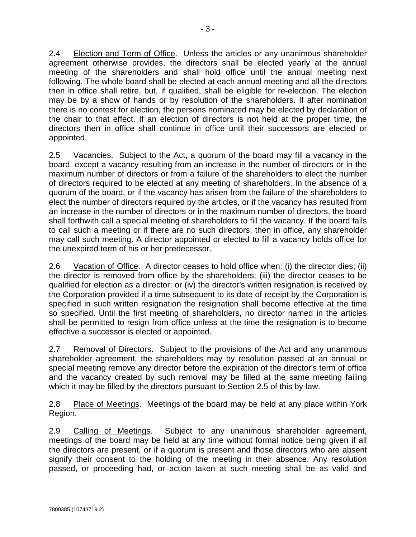2.4 Election and Term of Office. Unless the articles or any unanimous shareholder agreement otherwise provides, the directors shall be elected yearly at the annual meeting of the shareholders and shall hold office until the annual meeting next following. The whole board shall be elected at each annual meeting and all the directors then in office shall retire, but, if qualified, shall be eligible for re-election. The election may be by a show of hands or by resolution of the shareholders. If after nomination there is no contest for election, the persons nominated may be elected by declaration of the chair to that effect. If an election of directors is not held at the proper time, the directors then in office shall continue in office until their successors are elected or appointed.

2.5 Vacancies. Subject to the Act, a quorum of the board may fill a vacancy in the board, except a vacancy resulting from an increase in the number of directors or in the maximum number of directors or from a failure of the shareholders to elect the number of directors required to be elected at any meeting of shareholders. In the absence of a quorum of the board, or if the vacancy has arisen from the failure of the shareholders to elect the number of directors required by the articles, or if the vacancy has resulted from an increase in the number of directors or in the maximum number of directors, the board shall forthwith call a special meeting of shareholders to fill the vacancy. If the board fails to call such a meeting or if there are no such directors, then in office, any shareholder may call such meeting. A director appointed or elected to fill a vacancy holds office for the unexpired term of his or her predecessor.

2.6 Vacation of Office. A director ceases to hold office when: (i) the director dies; (ii) the director is removed from office by the shareholders; (iii) the director ceases to be qualified for election as a director; or (iv) the director's written resignation is received by the Corporation provided if a time subsequent to its date of receipt by the Corporation is specified in such written resignation the resignation shall become effective at the time so specified. Until the first meeting of shareholders, no director named in the articles shall be permitted to resign from office unless at the time the resignation is to become effective a successor is elected or appointed.

2.7 Removal of Directors. Subject to the provisions of the Act and any unanimous shareholder agreement, the shareholders may by resolution passed at an annual or special meeting remove any director before the expiration of the director's term of office and the vacancy created by such removal may be filled at the same meeting failing which it may be filled by the directors pursuant to Section 2.5 of this by-law.

2.8 Place of Meetings. Meetings of the board may be held at any place within York Region.

2.9 Calling of Meetings. Subject to any unanimous shareholder agreement, meetings of the board may be held at any time without formal notice being given if all the directors are present, or if a quorum is present and those directors who are absent signify their consent to the holding of the meeting in their absence. Any resolution passed, or proceeding had, or action taken at such meeting shall be as valid and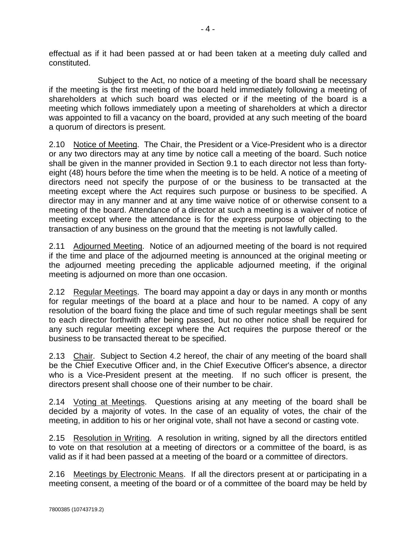effectual as if it had been passed at or had been taken at a meeting duly called and constituted.

Subject to the Act, no notice of a meeting of the board shall be necessary if the meeting is the first meeting of the board held immediately following a meeting of shareholders at which such board was elected or if the meeting of the board is a meeting which follows immediately upon a meeting of shareholders at which a director was appointed to fill a vacancy on the board, provided at any such meeting of the board a quorum of directors is present.

2.10 Notice of Meeting. The Chair, the President or a Vice-President who is a director or any two directors may at any time by notice call a meeting of the board. Such notice shall be given in the manner provided in Section 9.1 to each director not less than fortyeight (48) hours before the time when the meeting is to be held. A notice of a meeting of directors need not specify the purpose of or the business to be transacted at the meeting except where the Act requires such purpose or business to be specified. A director may in any manner and at any time waive notice of or otherwise consent to a meeting of the board. Attendance of a director at such a meeting is a waiver of notice of meeting except where the attendance is for the express purpose of objecting to the transaction of any business on the ground that the meeting is not lawfully called.

2.11 Adjourned Meeting. Notice of an adjourned meeting of the board is not required if the time and place of the adjourned meeting is announced at the original meeting or the adjourned meeting preceding the applicable adjourned meeting, if the original meeting is adjourned on more than one occasion.

2.12 Regular Meetings. The board may appoint a day or days in any month or months for regular meetings of the board at a place and hour to be named. A copy of any resolution of the board fixing the place and time of such regular meetings shall be sent to each director forthwith after being passed, but no other notice shall be required for any such regular meeting except where the Act requires the purpose thereof or the business to be transacted thereat to be specified.

2.13 Chair. Subject to Section 4.2 hereof, the chair of any meeting of the board shall be the Chief Executive Officer and, in the Chief Executive Officer's absence, a director who is a Vice-President present at the meeting. If no such officer is present, the directors present shall choose one of their number to be chair.

2.14 Voting at Meetings. Questions arising at any meeting of the board shall be decided by a majority of votes. In the case of an equality of votes, the chair of the meeting, in addition to his or her original vote, shall not have a second or casting vote.

2.15 Resolution in Writing. A resolution in writing, signed by all the directors entitled to vote on that resolution at a meeting of directors or a committee of the board, is as valid as if it had been passed at a meeting of the board or a committee of directors.

2.16 Meetings by Electronic Means. If all the directors present at or participating in a meeting consent, a meeting of the board or of a committee of the board may be held by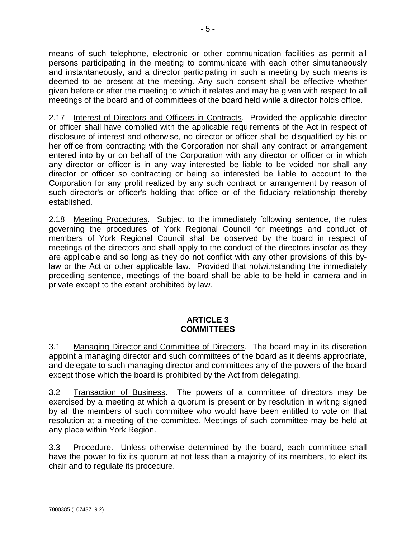means of such telephone, electronic or other communication facilities as permit all persons participating in the meeting to communicate with each other simultaneously and instantaneously, and a director participating in such a meeting by such means is deemed to be present at the meeting. Any such consent shall be effective whether given before or after the meeting to which it relates and may be given with respect to all meetings of the board and of committees of the board held while a director holds office.

2.17 Interest of Directors and Officers in Contracts. Provided the applicable director or officer shall have complied with the applicable requirements of the Act in respect of disclosure of interest and otherwise, no director or officer shall be disqualified by his or her office from contracting with the Corporation nor shall any contract or arrangement entered into by or on behalf of the Corporation with any director or officer or in which any director or officer is in any way interested be liable to be voided nor shall any director or officer so contracting or being so interested be liable to account to the Corporation for any profit realized by any such contract or arrangement by reason of such director's or officer's holding that office or of the fiduciary relationship thereby established.

2.18 Meeting Procedures. Subject to the immediately following sentence, the rules governing the procedures of York Regional Council for meetings and conduct of members of York Regional Council shall be observed by the board in respect of meetings of the directors and shall apply to the conduct of the directors insofar as they are applicable and so long as they do not conflict with any other provisions of this bylaw or the Act or other applicable law. Provided that notwithstanding the immediately preceding sentence, meetings of the board shall be able to be held in camera and in private except to the extent prohibited by law.

#### **ARTICLE 3 COMMITTEES**

3.1 Managing Director and Committee of Directors. The board may in its discretion appoint a managing director and such committees of the board as it deems appropriate, and delegate to such managing director and committees any of the powers of the board except those which the board is prohibited by the Act from delegating.

3.2 Transaction of Business. The powers of a committee of directors may be exercised by a meeting at which a quorum is present or by resolution in writing signed by all the members of such committee who would have been entitled to vote on that resolution at a meeting of the committee. Meetings of such committee may be held at any place within York Region.

3.3 Procedure. Unless otherwise determined by the board, each committee shall have the power to fix its quorum at not less than a majority of its members, to elect its chair and to regulate its procedure.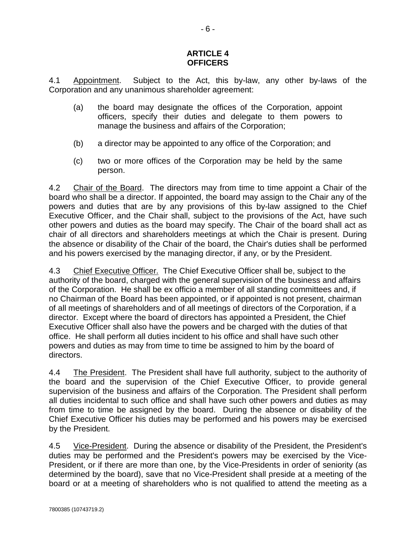#### **ARTICLE 4 OFFICERS**

4.1 Appointment. Subject to the Act, this by-law, any other by-laws of the Corporation and any unanimous shareholder agreement:

- (a) the board may designate the offices of the Corporation, appoint officers, specify their duties and delegate to them powers to manage the business and affairs of the Corporation;
- (b) a director may be appointed to any office of the Corporation; and
- (c) two or more offices of the Corporation may be held by the same person.

4.2 Chair of the Board. The directors may from time to time appoint a Chair of the board who shall be a director. If appointed, the board may assign to the Chair any of the powers and duties that are by any provisions of this by-law assigned to the Chief Executive Officer, and the Chair shall, subject to the provisions of the Act, have such other powers and duties as the board may specify. The Chair of the board shall act as chair of all directors and shareholders meetings at which the Chair is present. During the absence or disability of the Chair of the board, the Chair's duties shall be performed and his powers exercised by the managing director, if any, or by the President.

4.3 Chief Executive Officer. The Chief Executive Officer shall be, subject to the authority of the board, charged with the general supervision of the business and affairs of the Corporation. He shall be ex officio a member of all standing committees and, if no Chairman of the Board has been appointed, or if appointed is not present, chairman of all meetings of shareholders and of all meetings of directors of the Corporation, if a director. Except where the board of directors has appointed a President, the Chief Executive Officer shall also have the powers and be charged with the duties of that office. He shall perform all duties incident to his office and shall have such other powers and duties as may from time to time be assigned to him by the board of directors.

4.4 The President. The President shall have full authority, subject to the authority of the board and the supervision of the Chief Executive Officer, to provide general supervision of the business and affairs of the Corporation. The President shall perform all duties incidental to such office and shall have such other powers and duties as may from time to time be assigned by the board. During the absence or disability of the Chief Executive Officer his duties may be performed and his powers may be exercised by the President.

4.5 Vice-President. During the absence or disability of the President, the President's duties may be performed and the President's powers may be exercised by the Vice-President, or if there are more than one, by the Vice-Presidents in order of seniority (as determined by the board), save that no Vice-President shall preside at a meeting of the board or at a meeting of shareholders who is not qualified to attend the meeting as a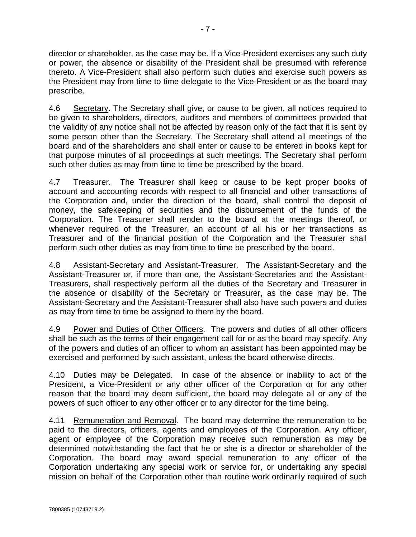director or shareholder, as the case may be. If a Vice-President exercises any such duty or power, the absence or disability of the President shall be presumed with reference thereto. A Vice-President shall also perform such duties and exercise such powers as the President may from time to time delegate to the Vice-President or as the board may prescribe.

4.6 Secretary. The Secretary shall give, or cause to be given, all notices required to be given to shareholders, directors, auditors and members of committees provided that the validity of any notice shall not be affected by reason only of the fact that it is sent by some person other than the Secretary. The Secretary shall attend all meetings of the board and of the shareholders and shall enter or cause to be entered in books kept for that purpose minutes of all proceedings at such meetings. The Secretary shall perform such other duties as may from time to time be prescribed by the board.

4.7 Treasurer. The Treasurer shall keep or cause to be kept proper books of account and accounting records with respect to all financial and other transactions of the Corporation and, under the direction of the board, shall control the deposit of money, the safekeeping of securities and the disbursement of the funds of the Corporation. The Treasurer shall render to the board at the meetings thereof, or whenever required of the Treasurer, an account of all his or her transactions as Treasurer and of the financial position of the Corporation and the Treasurer shall perform such other duties as may from time to time be prescribed by the board.

4.8 Assistant-Secretary and Assistant-Treasurer. The Assistant-Secretary and the Assistant-Treasurer or, if more than one, the Assistant-Secretaries and the Assistant-Treasurers, shall respectively perform all the duties of the Secretary and Treasurer in the absence or disability of the Secretary or Treasurer, as the case may be. The Assistant-Secretary and the Assistant-Treasurer shall also have such powers and duties as may from time to time be assigned to them by the board.

4.9 Power and Duties of Other Officers. The powers and duties of all other officers shall be such as the terms of their engagement call for or as the board may specify. Any of the powers and duties of an officer to whom an assistant has been appointed may be exercised and performed by such assistant, unless the board otherwise directs.

4.10 Duties may be Delegated. In case of the absence or inability to act of the President, a Vice-President or any other officer of the Corporation or for any other reason that the board may deem sufficient, the board may delegate all or any of the powers of such officer to any other officer or to any director for the time being.

4.11 Remuneration and Removal. The board may determine the remuneration to be paid to the directors, officers, agents and employees of the Corporation. Any officer, agent or employee of the Corporation may receive such remuneration as may be determined notwithstanding the fact that he or she is a director or shareholder of the Corporation. The board may award special remuneration to any officer of the Corporation undertaking any special work or service for, or undertaking any special mission on behalf of the Corporation other than routine work ordinarily required of such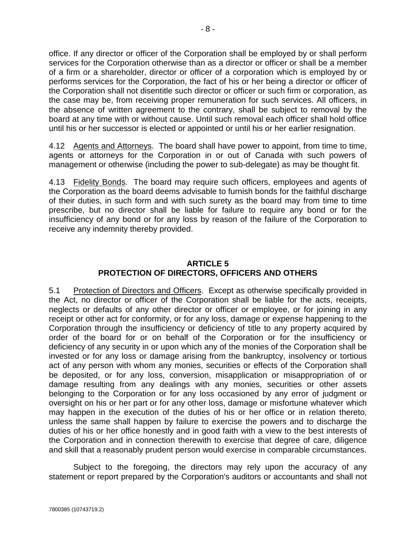office. If any director or officer of the Corporation shall be employed by or shall perform services for the Corporation otherwise than as a director or officer or shall be a member of a firm or a shareholder, director or officer of a corporation which is employed by or performs services for the Corporation, the fact of his or her being a director or officer of the Corporation shall not disentitle such director or officer or such firm or corporation, as the case may be, from receiving proper remuneration for such services. All officers, in the absence of written agreement to the contrary, shall be subject to removal by the board at any time with or without cause. Until such removal each officer shall hold office until his or her successor is elected or appointed or until his or her earlier resignation.

4.12 Agents and Attorneys. The board shall have power to appoint, from time to time, agents or attorneys for the Corporation in or out of Canada with such powers of management or otherwise (including the power to sub-delegate) as may be thought fit.

4.13 Fidelity Bonds. The board may require such officers, employees and agents of the Corporation as the board deems advisable to furnish bonds for the faithful discharge of their duties, in such form and with such surety as the board may from time to time prescribe, but no director shall be liable for failure to require any bond or for the insufficiency of any bond or for any loss by reason of the failure of the Corporation to receive any indemnity thereby provided.

## **ARTICLE 5 PROTECTION OF DIRECTORS, OFFICERS AND OTHERS**

5.1 Protection of Directors and Officers. Except as otherwise specifically provided in the Act, no director or officer of the Corporation shall be liable for the acts, receipts, neglects or defaults of any other director or officer or employee, or for joining in any receipt or other act for conformity, or for any loss, damage or expense happening to the Corporation through the insufficiency or deficiency of title to any property acquired by order of the board for or on behalf of the Corporation or for the insufficiency or deficiency of any security in or upon which any of the monies of the Corporation shall be invested or for any loss or damage arising from the bankruptcy, insolvency or tortious act of any person with whom any monies, securities or effects of the Corporation shall be deposited, or for any loss, conversion, misapplication or misappropriation of or damage resulting from any dealings with any monies, securities or other assets belonging to the Corporation or for any loss occasioned by any error of judgment or oversight on his or her part or for any other loss, damage or misfortune whatever which may happen in the execution of the duties of his or her office or in relation thereto, unless the same shall happen by failure to exercise the powers and to discharge the duties of his or her office honestly and in good faith with a view to the best interests of the Corporation and in connection therewith to exercise that degree of care, diligence and skill that a reasonably prudent person would exercise in comparable circumstances.

Subject to the foregoing, the directors may rely upon the accuracy of any statement or report prepared by the Corporation's auditors or accountants and shall not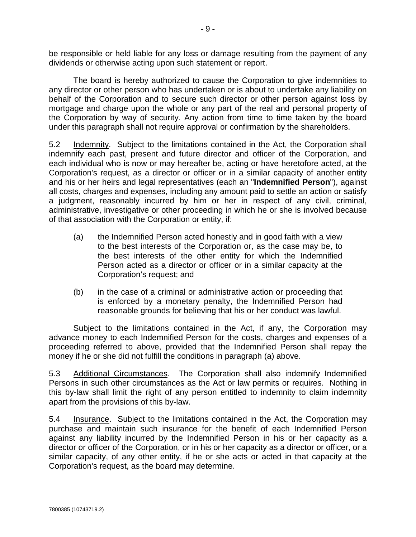be responsible or held liable for any loss or damage resulting from the payment of any dividends or otherwise acting upon such statement or report.

The board is hereby authorized to cause the Corporation to give indemnities to any director or other person who has undertaken or is about to undertake any liability on behalf of the Corporation and to secure such director or other person against loss by mortgage and charge upon the whole or any part of the real and personal property of the Corporation by way of security. Any action from time to time taken by the board under this paragraph shall not require approval or confirmation by the shareholders.

5.2 Indemnity. Subject to the limitations contained in the Act, the Corporation shall indemnify each past, present and future director and officer of the Corporation, and each individual who is now or may hereafter be, acting or have heretofore acted, at the Corporation's request, as a director or officer or in a similar capacity of another entity and his or her heirs and legal representatives (each an "**Indemnified Person**"), against all costs, charges and expenses, including any amount paid to settle an action or satisfy a judgment, reasonably incurred by him or her in respect of any civil, criminal, administrative, investigative or other proceeding in which he or she is involved because of that association with the Corporation or entity, if:

- (a) the Indemnified Person acted honestly and in good faith with a view to the best interests of the Corporation or, as the case may be, to the best interests of the other entity for which the Indemnified Person acted as a director or officer or in a similar capacity at the Corporation's request; and
- (b) in the case of a criminal or administrative action or proceeding that is enforced by a monetary penalty, the Indemnified Person had reasonable grounds for believing that his or her conduct was lawful.

Subject to the limitations contained in the Act, if any, the Corporation may advance money to each Indemnified Person for the costs, charges and expenses of a proceeding referred to above, provided that the Indemnified Person shall repay the money if he or she did not fulfill the conditions in paragraph (a) above.

5.3 Additional Circumstances. The Corporation shall also indemnify Indemnified Persons in such other circumstances as the Act or law permits or requires. Nothing in this by-law shall limit the right of any person entitled to indemnity to claim indemnity apart from the provisions of this by-law.

5.4 Insurance. Subject to the limitations contained in the Act, the Corporation may purchase and maintain such insurance for the benefit of each Indemnified Person against any liability incurred by the Indemnified Person in his or her capacity as a director or officer of the Corporation, or in his or her capacity as a director or officer, or a similar capacity, of any other entity, if he or she acts or acted in that capacity at the Corporation's request, as the board may determine.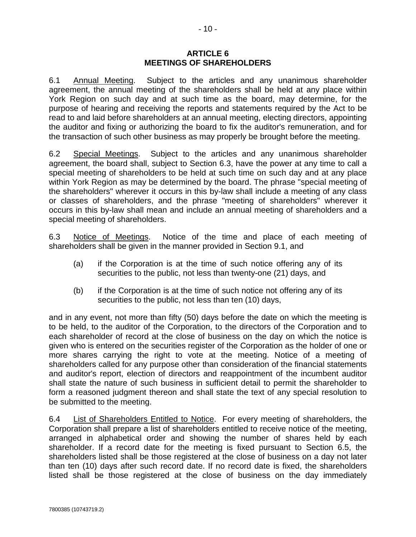#### **ARTICLE 6 MEETINGS OF SHAREHOLDERS**

6.1 Annual Meeting. Subject to the articles and any unanimous shareholder agreement, the annual meeting of the shareholders shall be held at any place within York Region on such day and at such time as the board, may determine, for the purpose of hearing and receiving the reports and statements required by the Act to be read to and laid before shareholders at an annual meeting, electing directors, appointing the auditor and fixing or authorizing the board to fix the auditor's remuneration, and for the transaction of such other business as may properly be brought before the meeting.

6.2 Special Meetings. Subject to the articles and any unanimous shareholder agreement, the board shall, subject to Section 6.3, have the power at any time to call a special meeting of shareholders to be held at such time on such day and at any place within York Region as may be determined by the board. The phrase "special meeting of the shareholders" wherever it occurs in this by-law shall include a meeting of any class or classes of shareholders, and the phrase "meeting of shareholders" wherever it occurs in this by-law shall mean and include an annual meeting of shareholders and a special meeting of shareholders.

6.3 Notice of Meetings. Notice of the time and place of each meeting of shareholders shall be given in the manner provided in Section 9.1, and

- (a) if the Corporation is at the time of such notice offering any of its securities to the public, not less than twenty-one (21) days, and
- (b) if the Corporation is at the time of such notice not offering any of its securities to the public, not less than ten (10) days,

and in any event, not more than fifty (50) days before the date on which the meeting is to be held, to the auditor of the Corporation, to the directors of the Corporation and to each shareholder of record at the close of business on the day on which the notice is given who is entered on the securities register of the Corporation as the holder of one or more shares carrying the right to vote at the meeting. Notice of a meeting of shareholders called for any purpose other than consideration of the financial statements and auditor's report, election of directors and reappointment of the incumbent auditor shall state the nature of such business in sufficient detail to permit the shareholder to form a reasoned judgment thereon and shall state the text of any special resolution to be submitted to the meeting.

6.4 List of Shareholders Entitled to Notice. For every meeting of shareholders, the Corporation shall prepare a list of shareholders entitled to receive notice of the meeting, arranged in alphabetical order and showing the number of shares held by each shareholder. If a record date for the meeting is fixed pursuant to Section 6.5, the shareholders listed shall be those registered at the close of business on a day not later than ten (10) days after such record date. If no record date is fixed, the shareholders listed shall be those registered at the close of business on the day immediately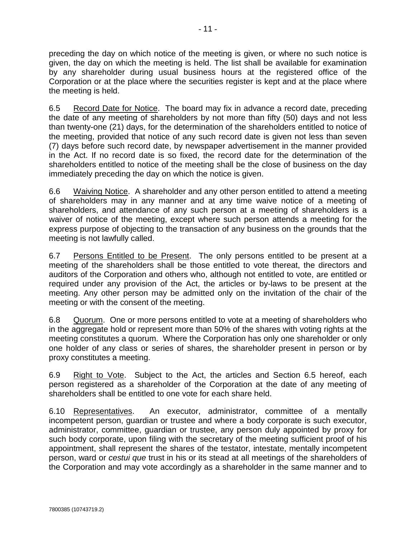preceding the day on which notice of the meeting is given, or where no such notice is given, the day on which the meeting is held. The list shall be available for examination by any shareholder during usual business hours at the registered office of the Corporation or at the place where the securities register is kept and at the place where the meeting is held.

6.5 Record Date for Notice. The board may fix in advance a record date, preceding the date of any meeting of shareholders by not more than fifty (50) days and not less than twenty-one (21) days, for the determination of the shareholders entitled to notice of the meeting, provided that notice of any such record date is given not less than seven (7) days before such record date, by newspaper advertisement in the manner provided in the Act. If no record date is so fixed, the record date for the determination of the shareholders entitled to notice of the meeting shall be the close of business on the day immediately preceding the day on which the notice is given.

6.6 Waiving Notice. A shareholder and any other person entitled to attend a meeting of shareholders may in any manner and at any time waive notice of a meeting of shareholders, and attendance of any such person at a meeting of shareholders is a waiver of notice of the meeting, except where such person attends a meeting for the express purpose of objecting to the transaction of any business on the grounds that the meeting is not lawfully called.

6.7 Persons Entitled to be Present. The only persons entitled to be present at a meeting of the shareholders shall be those entitled to vote thereat, the directors and auditors of the Corporation and others who, although not entitled to vote, are entitled or required under any provision of the Act, the articles or by-laws to be present at the meeting. Any other person may be admitted only on the invitation of the chair of the meeting or with the consent of the meeting.

6.8 Quorum. One or more persons entitled to vote at a meeting of shareholders who in the aggregate hold or represent more than 50% of the shares with voting rights at the meeting constitutes a quorum. Where the Corporation has only one shareholder or only one holder of any class or series of shares, the shareholder present in person or by proxy constitutes a meeting.

6.9 Right to Vote. Subject to the Act, the articles and Section 6.5 hereof, each person registered as a shareholder of the Corporation at the date of any meeting of shareholders shall be entitled to one vote for each share held.

6.10 Representatives. An executor, administrator, committee of a mentally incompetent person, guardian or trustee and where a body corporate is such executor, administrator, committee, guardian or trustee, any person duly appointed by proxy for such body corporate, upon filing with the secretary of the meeting sufficient proof of his appointment, shall represent the shares of the testator, intestate, mentally incompetent person, ward or *cestui que* trust in his or its stead at all meetings of the shareholders of the Corporation and may vote accordingly as a shareholder in the same manner and to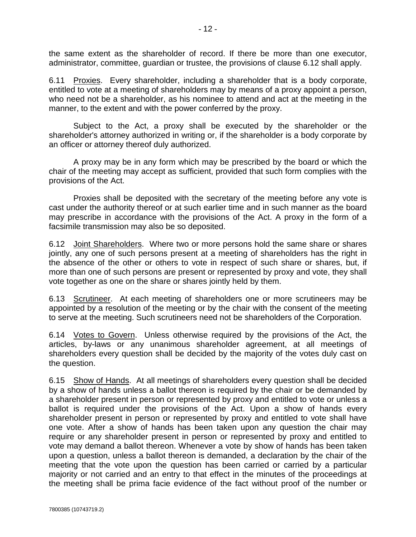the same extent as the shareholder of record. If there be more than one executor, administrator, committee, guardian or trustee, the provisions of clause 6.12 shall apply.

6.11 Proxies. Every shareholder, including a shareholder that is a body corporate, entitled to vote at a meeting of shareholders may by means of a proxy appoint a person, who need not be a shareholder, as his nominee to attend and act at the meeting in the manner, to the extent and with the power conferred by the proxy.

Subject to the Act, a proxy shall be executed by the shareholder or the shareholder's attorney authorized in writing or, if the shareholder is a body corporate by an officer or attorney thereof duly authorized.

A proxy may be in any form which may be prescribed by the board or which the chair of the meeting may accept as sufficient, provided that such form complies with the provisions of the Act.

Proxies shall be deposited with the secretary of the meeting before any vote is cast under the authority thereof or at such earlier time and in such manner as the board may prescribe in accordance with the provisions of the Act. A proxy in the form of a facsimile transmission may also be so deposited.

6.12 Joint Shareholders. Where two or more persons hold the same share or shares jointly, any one of such persons present at a meeting of shareholders has the right in the absence of the other or others to vote in respect of such share or shares, but, if more than one of such persons are present or represented by proxy and vote, they shall vote together as one on the share or shares jointly held by them.

6.13 Scrutineer. At each meeting of shareholders one or more scrutineers may be appointed by a resolution of the meeting or by the chair with the consent of the meeting to serve at the meeting. Such scrutineers need not be shareholders of the Corporation.

6.14 Votes to Govern. Unless otherwise required by the provisions of the Act, the articles, by-laws or any unanimous shareholder agreement, at all meetings of shareholders every question shall be decided by the majority of the votes duly cast on the question.

6.15 Show of Hands. At all meetings of shareholders every question shall be decided by a show of hands unless a ballot thereon is required by the chair or be demanded by a shareholder present in person or represented by proxy and entitled to vote or unless a ballot is required under the provisions of the Act. Upon a show of hands every shareholder present in person or represented by proxy and entitled to vote shall have one vote. After a show of hands has been taken upon any question the chair may require or any shareholder present in person or represented by proxy and entitled to vote may demand a ballot thereon. Whenever a vote by show of hands has been taken upon a question, unless a ballot thereon is demanded, a declaration by the chair of the meeting that the vote upon the question has been carried or carried by a particular majority or not carried and an entry to that effect in the minutes of the proceedings at the meeting shall be prima facie evidence of the fact without proof of the number or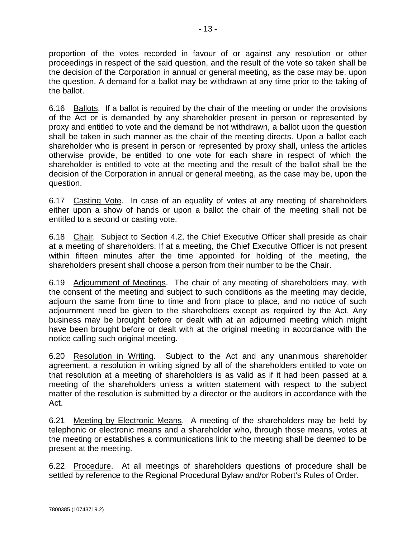proportion of the votes recorded in favour of or against any resolution or other proceedings in respect of the said question, and the result of the vote so taken shall be the decision of the Corporation in annual or general meeting, as the case may be, upon the question. A demand for a ballot may be withdrawn at any time prior to the taking of the ballot.

6.16 Ballots. If a ballot is required by the chair of the meeting or under the provisions of the Act or is demanded by any shareholder present in person or represented by proxy and entitled to vote and the demand be not withdrawn, a ballot upon the question shall be taken in such manner as the chair of the meeting directs. Upon a ballot each shareholder who is present in person or represented by proxy shall, unless the articles otherwise provide, be entitled to one vote for each share in respect of which the shareholder is entitled to vote at the meeting and the result of the ballot shall be the decision of the Corporation in annual or general meeting, as the case may be, upon the question.

6.17 Casting Vote. In case of an equality of votes at any meeting of shareholders either upon a show of hands or upon a ballot the chair of the meeting shall not be entitled to a second or casting vote.

6.18 Chair. Subject to Section 4.2, the Chief Executive Officer shall preside as chair at a meeting of shareholders. If at a meeting, the Chief Executive Officer is not present within fifteen minutes after the time appointed for holding of the meeting, the shareholders present shall choose a person from their number to be the Chair.

6.19 Adjournment of Meetings. The chair of any meeting of shareholders may, with the consent of the meeting and subject to such conditions as the meeting may decide, adjourn the same from time to time and from place to place, and no notice of such adjournment need be given to the shareholders except as required by the Act. Any business may be brought before or dealt with at an adjourned meeting which might have been brought before or dealt with at the original meeting in accordance with the notice calling such original meeting.

6.20 Resolution in Writing. Subject to the Act and any unanimous shareholder agreement, a resolution in writing signed by all of the shareholders entitled to vote on that resolution at a meeting of shareholders is as valid as if it had been passed at a meeting of the shareholders unless a written statement with respect to the subject matter of the resolution is submitted by a director or the auditors in accordance with the Act.

6.21 Meeting by Electronic Means. A meeting of the shareholders may be held by telephonic or electronic means and a shareholder who, through those means, votes at the meeting or establishes a communications link to the meeting shall be deemed to be present at the meeting.

6.22 Procedure. At all meetings of shareholders questions of procedure shall be settled by reference to the Regional Procedural Bylaw and/or Robert's Rules of Order.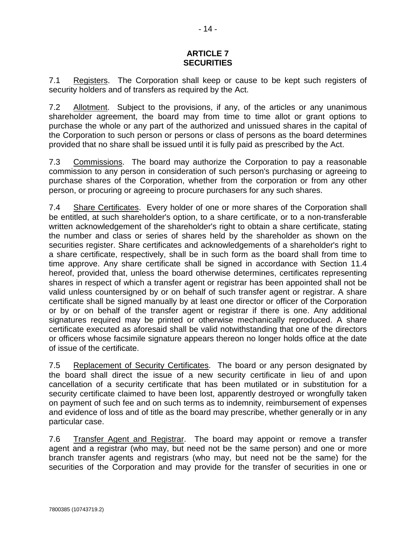### **ARTICLE 7 SECURITIES**

7.1 Registers. The Corporation shall keep or cause to be kept such registers of security holders and of transfers as required by the Act.

7.2 Allotment. Subject to the provisions, if any, of the articles or any unanimous shareholder agreement, the board may from time to time allot or grant options to purchase the whole or any part of the authorized and unissued shares in the capital of the Corporation to such person or persons or class of persons as the board determines provided that no share shall be issued until it is fully paid as prescribed by the Act.

7.3 Commissions. The board may authorize the Corporation to pay a reasonable commission to any person in consideration of such person's purchasing or agreeing to purchase shares of the Corporation, whether from the corporation or from any other person, or procuring or agreeing to procure purchasers for any such shares.

7.4 Share Certificates. Every holder of one or more shares of the Corporation shall be entitled, at such shareholder's option, to a share certificate, or to a non-transferable written acknowledgement of the shareholder's right to obtain a share certificate, stating the number and class or series of shares held by the shareholder as shown on the securities register. Share certificates and acknowledgements of a shareholder's right to a share certificate, respectively, shall be in such form as the board shall from time to time approve. Any share certificate shall be signed in accordance with Section 11.4 hereof, provided that, unless the board otherwise determines, certificates representing shares in respect of which a transfer agent or registrar has been appointed shall not be valid unless countersigned by or on behalf of such transfer agent or registrar. A share certificate shall be signed manually by at least one director or officer of the Corporation or by or on behalf of the transfer agent or registrar if there is one. Any additional signatures required may be printed or otherwise mechanically reproduced. A share certificate executed as aforesaid shall be valid notwithstanding that one of the directors or officers whose facsimile signature appears thereon no longer holds office at the date of issue of the certificate.

7.5 Replacement of Security Certificates. The board or any person designated by the board shall direct the issue of a new security certificate in lieu of and upon cancellation of a security certificate that has been mutilated or in substitution for a security certificate claimed to have been lost, apparently destroyed or wrongfully taken on payment of such fee and on such terms as to indemnity, reimbursement of expenses and evidence of loss and of title as the board may prescribe, whether generally or in any particular case.

7.6 Transfer Agent and Registrar. The board may appoint or remove a transfer agent and a registrar (who may, but need not be the same person) and one or more branch transfer agents and registrars (who may, but need not be the same) for the securities of the Corporation and may provide for the transfer of securities in one or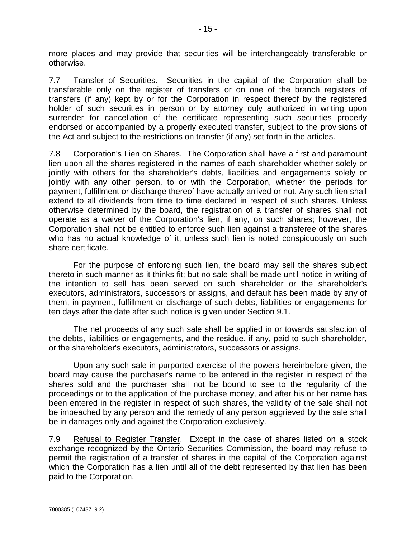more places and may provide that securities will be interchangeably transferable or otherwise.

7.7 Transfer of Securities. Securities in the capital of the Corporation shall be transferable only on the register of transfers or on one of the branch registers of transfers (if any) kept by or for the Corporation in respect thereof by the registered holder of such securities in person or by attorney duly authorized in writing upon surrender for cancellation of the certificate representing such securities properly endorsed or accompanied by a properly executed transfer, subject to the provisions of the Act and subject to the restrictions on transfer (if any) set forth in the articles.

7.8 Corporation's Lien on Shares. The Corporation shall have a first and paramount lien upon all the shares registered in the names of each shareholder whether solely or jointly with others for the shareholder's debts, liabilities and engagements solely or jointly with any other person, to or with the Corporation, whether the periods for payment, fulfillment or discharge thereof have actually arrived or not. Any such lien shall extend to all dividends from time to time declared in respect of such shares. Unless otherwise determined by the board, the registration of a transfer of shares shall not operate as a waiver of the Corporation's lien, if any, on such shares; however, the Corporation shall not be entitled to enforce such lien against a transferee of the shares who has no actual knowledge of it, unless such lien is noted conspicuously on such share certificate.

For the purpose of enforcing such lien, the board may sell the shares subject thereto in such manner as it thinks fit; but no sale shall be made until notice in writing of the intention to sell has been served on such shareholder or the shareholder's executors, administrators, successors or assigns, and default has been made by any of them, in payment, fulfillment or discharge of such debts, liabilities or engagements for ten days after the date after such notice is given under Section 9.1.

The net proceeds of any such sale shall be applied in or towards satisfaction of the debts, liabilities or engagements, and the residue, if any, paid to such shareholder, or the shareholder's executors, administrators, successors or assigns.

Upon any such sale in purported exercise of the powers hereinbefore given, the board may cause the purchaser's name to be entered in the register in respect of the shares sold and the purchaser shall not be bound to see to the regularity of the proceedings or to the application of the purchase money, and after his or her name has been entered in the register in respect of such shares, the validity of the sale shall not be impeached by any person and the remedy of any person aggrieved by the sale shall be in damages only and against the Corporation exclusively.

7.9 Refusal to Register Transfer. Except in the case of shares listed on a stock exchange recognized by the Ontario Securities Commission, the board may refuse to permit the registration of a transfer of shares in the capital of the Corporation against which the Corporation has a lien until all of the debt represented by that lien has been paid to the Corporation.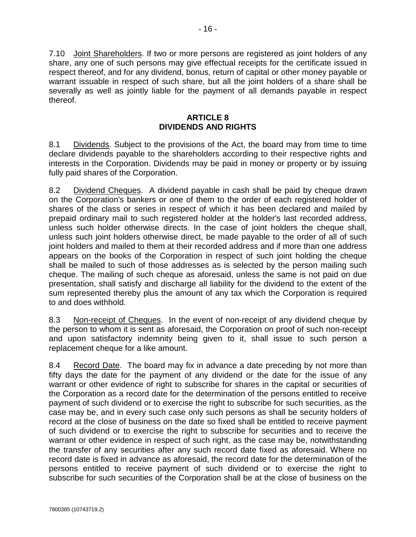7.10 Joint Shareholders. If two or more persons are registered as joint holders of any share, any one of such persons may give effectual receipts for the certificate issued in respect thereof, and for any dividend, bonus, return of capital or other money payable or warrant issuable in respect of such share, but all the joint holders of a share shall be severally as well as jointly liable for the payment of all demands payable in respect thereof.

### **ARTICLE 8 DIVIDENDS AND RIGHTS**

8.1 Dividends. Subject to the provisions of the Act, the board may from time to time declare dividends payable to the shareholders according to their respective rights and interests in the Corporation. Dividends may be paid in money or property or by issuing fully paid shares of the Corporation.

8.2 Dividend Cheques. A dividend payable in cash shall be paid by cheque drawn on the Corporation's bankers or one of them to the order of each registered holder of shares of the class or series in respect of which it has been declared and mailed by prepaid ordinary mail to such registered holder at the holder's last recorded address, unless such holder otherwise directs. In the case of joint holders the cheque shall, unless such joint holders otherwise direct, be made payable to the order of all of such joint holders and mailed to them at their recorded address and if more than one address appears on the books of the Corporation in respect of such joint holding the cheque shall be mailed to such of those addresses as is selected by the person mailing such cheque. The mailing of such cheque as aforesaid, unless the same is not paid on due presentation, shall satisfy and discharge all liability for the dividend to the extent of the sum represented thereby plus the amount of any tax which the Corporation is required to and does withhold.

8.3 Non-receipt of Cheques. In the event of non-receipt of any dividend cheque by the person to whom it is sent as aforesaid, the Corporation on proof of such non-receipt and upon satisfactory indemnity being given to it, shall issue to such person a replacement cheque for a like amount.

8.4 Record Date. The board may fix in advance a date preceding by not more than fifty days the date for the payment of any dividend or the date for the issue of any warrant or other evidence of right to subscribe for shares in the capital or securities of the Corporation as a record date for the determination of the persons entitled to receive payment of such dividend or to exercise the right to subscribe for such securities, as the case may be, and in every such case only such persons as shall be security holders of record at the close of business on the date so fixed shall be entitled to receive payment of such dividend or to exercise the right to subscribe for securities and to receive the warrant or other evidence in respect of such right, as the case may be, notwithstanding the transfer of any securities after any such record date fixed as aforesaid. Where no record date is fixed in advance as aforesaid, the record date for the determination of the persons entitled to receive payment of such dividend or to exercise the right to subscribe for such securities of the Corporation shall be at the close of business on the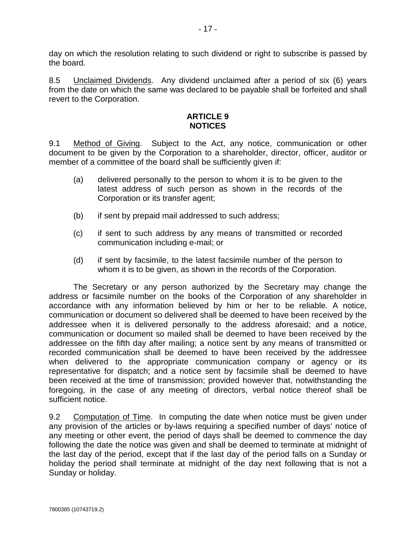day on which the resolution relating to such dividend or right to subscribe is passed by the board.

8.5 Unclaimed Dividends. Any dividend unclaimed after a period of six (6) years from the date on which the same was declared to be payable shall be forfeited and shall revert to the Corporation.

#### **ARTICLE 9 NOTICES**

9.1 Method of Giving. Subject to the Act, any notice, communication or other document to be given by the Corporation to a shareholder, director, officer, auditor or member of a committee of the board shall be sufficiently given if:

- (a) delivered personally to the person to whom it is to be given to the latest address of such person as shown in the records of the Corporation or its transfer agent;
- (b) if sent by prepaid mail addressed to such address;
- (c) if sent to such address by any means of transmitted or recorded communication including e-mail; or
- (d) if sent by facsimile, to the latest facsimile number of the person to whom it is to be given, as shown in the records of the Corporation.

The Secretary or any person authorized by the Secretary may change the address or facsimile number on the books of the Corporation of any shareholder in accordance with any information believed by him or her to be reliable. A notice, communication or document so delivered shall be deemed to have been received by the addressee when it is delivered personally to the address aforesaid; and a notice, communication or document so mailed shall be deemed to have been received by the addressee on the fifth day after mailing; a notice sent by any means of transmitted or recorded communication shall be deemed to have been received by the addressee when delivered to the appropriate communication company or agency or its representative for dispatch; and a notice sent by facsimile shall be deemed to have been received at the time of transmission; provided however that, notwithstanding the foregoing, in the case of any meeting of directors, verbal notice thereof shall be sufficient notice.

9.2 Computation of Time. In computing the date when notice must be given under any provision of the articles or by-laws requiring a specified number of days' notice of any meeting or other event, the period of days shall be deemed to commence the day following the date the notice was given and shall be deemed to terminate at midnight of the last day of the period, except that if the last day of the period falls on a Sunday or holiday the period shall terminate at midnight of the day next following that is not a Sunday or holiday.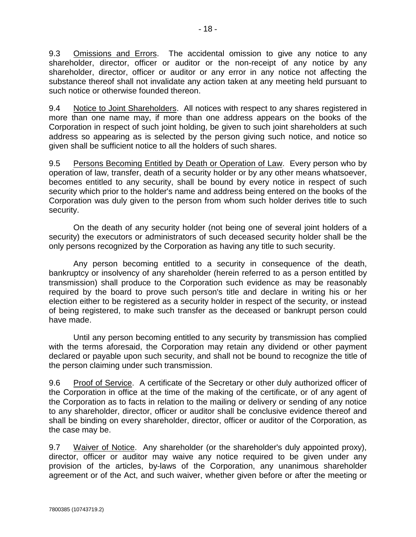9.3 **Omissions and Errors.** The accidental omission to give any notice to any shareholder, director, officer or auditor or the non-receipt of any notice by any shareholder, director, officer or auditor or any error in any notice not affecting the substance thereof shall not invalidate any action taken at any meeting held pursuant to such notice or otherwise founded thereon.

9.4 Notice to Joint Shareholders. All notices with respect to any shares registered in more than one name may, if more than one address appears on the books of the Corporation in respect of such joint holding, be given to such joint shareholders at such address so appearing as is selected by the person giving such notice, and notice so given shall be sufficient notice to all the holders of such shares.

9.5 Persons Becoming Entitled by Death or Operation of Law. Every person who by operation of law, transfer, death of a security holder or by any other means whatsoever, becomes entitled to any security, shall be bound by every notice in respect of such security which prior to the holder's name and address being entered on the books of the Corporation was duly given to the person from whom such holder derives title to such security.

On the death of any security holder (not being one of several joint holders of a security) the executors or administrators of such deceased security holder shall be the only persons recognized by the Corporation as having any title to such security.

Any person becoming entitled to a security in consequence of the death, bankruptcy or insolvency of any shareholder (herein referred to as a person entitled by transmission) shall produce to the Corporation such evidence as may be reasonably required by the board to prove such person's title and declare in writing his or her election either to be registered as a security holder in respect of the security, or instead of being registered, to make such transfer as the deceased or bankrupt person could have made.

Until any person becoming entitled to any security by transmission has complied with the terms aforesaid, the Corporation may retain any dividend or other payment declared or payable upon such security, and shall not be bound to recognize the title of the person claiming under such transmission.

9.6 Proof of Service. A certificate of the Secretary or other duly authorized officer of the Corporation in office at the time of the making of the certificate, or of any agent of the Corporation as to facts in relation to the mailing or delivery or sending of any notice to any shareholder, director, officer or auditor shall be conclusive evidence thereof and shall be binding on every shareholder, director, officer or auditor of the Corporation, as the case may be.

9.7 Waiver of Notice. Any shareholder (or the shareholder's duly appointed proxy), director, officer or auditor may waive any notice required to be given under any provision of the articles, by-laws of the Corporation, any unanimous shareholder agreement or of the Act, and such waiver, whether given before or after the meeting or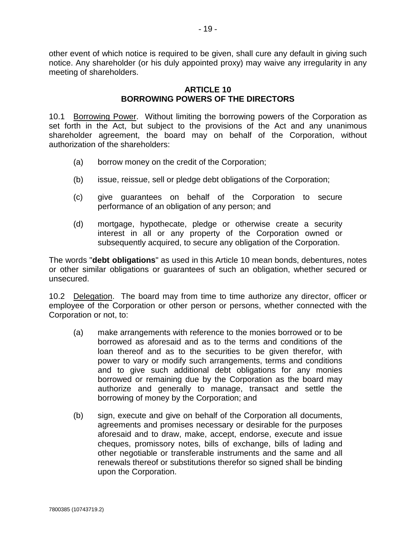other event of which notice is required to be given, shall cure any default in giving such notice. Any shareholder (or his duly appointed proxy) may waive any irregularity in any meeting of shareholders.

#### **ARTICLE 10 BORROWING POWERS OF THE DIRECTORS**

10.1 Borrowing Power. Without limiting the borrowing powers of the Corporation as set forth in the Act, but subject to the provisions of the Act and any unanimous shareholder agreement, the board may on behalf of the Corporation, without authorization of the shareholders:

- (a) borrow money on the credit of the Corporation;
- (b) issue, reissue, sell or pledge debt obligations of the Corporation;
- (c) give guarantees on behalf of the Corporation to secure performance of an obligation of any person; and
- (d) mortgage, hypothecate, pledge or otherwise create a security interest in all or any property of the Corporation owned or subsequently acquired, to secure any obligation of the Corporation.

The words "**debt obligations**" as used in this Article 10 mean bonds, debentures, notes or other similar obligations or guarantees of such an obligation, whether secured or unsecured.

10.2 Delegation. The board may from time to time authorize any director, officer or employee of the Corporation or other person or persons, whether connected with the Corporation or not, to:

- (a) make arrangements with reference to the monies borrowed or to be borrowed as aforesaid and as to the terms and conditions of the loan thereof and as to the securities to be given therefor, with power to vary or modify such arrangements, terms and conditions and to give such additional debt obligations for any monies borrowed or remaining due by the Corporation as the board may authorize and generally to manage, transact and settle the borrowing of money by the Corporation; and
- (b) sign, execute and give on behalf of the Corporation all documents, agreements and promises necessary or desirable for the purposes aforesaid and to draw, make, accept, endorse, execute and issue cheques, promissory notes, bills of exchange, bills of lading and other negotiable or transferable instruments and the same and all renewals thereof or substitutions therefor so signed shall be binding upon the Corporation.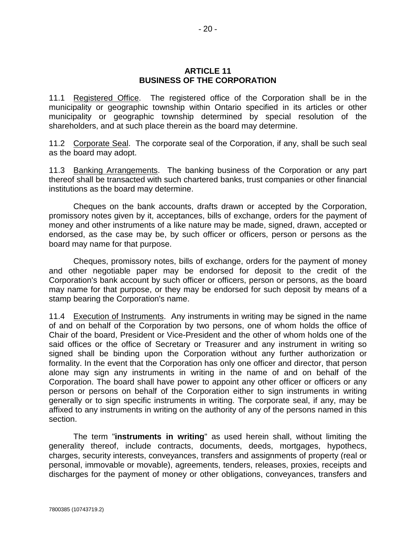#### **ARTICLE 11 BUSINESS OF THE CORPORATION**

11.1 Registered Office. The registered office of the Corporation shall be in the municipality or geographic township within Ontario specified in its articles or other municipality or geographic township determined by special resolution of the shareholders, and at such place therein as the board may determine.

11.2 Corporate Seal. The corporate seal of the Corporation, if any, shall be such seal as the board may adopt.

11.3 Banking Arrangements. The banking business of the Corporation or any part thereof shall be transacted with such chartered banks, trust companies or other financial institutions as the board may determine.

Cheques on the bank accounts, drafts drawn or accepted by the Corporation, promissory notes given by it, acceptances, bills of exchange, orders for the payment of money and other instruments of a like nature may be made, signed, drawn, accepted or endorsed, as the case may be, by such officer or officers, person or persons as the board may name for that purpose.

Cheques, promissory notes, bills of exchange, orders for the payment of money and other negotiable paper may be endorsed for deposit to the credit of the Corporation's bank account by such officer or officers, person or persons, as the board may name for that purpose, or they may be endorsed for such deposit by means of a stamp bearing the Corporation's name.

11.4 Execution of Instruments. Any instruments in writing may be signed in the name of and on behalf of the Corporation by two persons, one of whom holds the office of Chair of the board, President or Vice-President and the other of whom holds one of the said offices or the office of Secretary or Treasurer and any instrument in writing so signed shall be binding upon the Corporation without any further authorization or formality. In the event that the Corporation has only one officer and director, that person alone may sign any instruments in writing in the name of and on behalf of the Corporation. The board shall have power to appoint any other officer or officers or any person or persons on behalf of the Corporation either to sign instruments in writing generally or to sign specific instruments in writing. The corporate seal, if any, may be affixed to any instruments in writing on the authority of any of the persons named in this section.

The term "**instruments in writing**" as used herein shall, without limiting the generality thereof, include contracts, documents, deeds, mortgages, hypothecs, charges, security interests, conveyances, transfers and assignments of property (real or personal, immovable or movable), agreements, tenders, releases, proxies, receipts and discharges for the payment of money or other obligations, conveyances, transfers and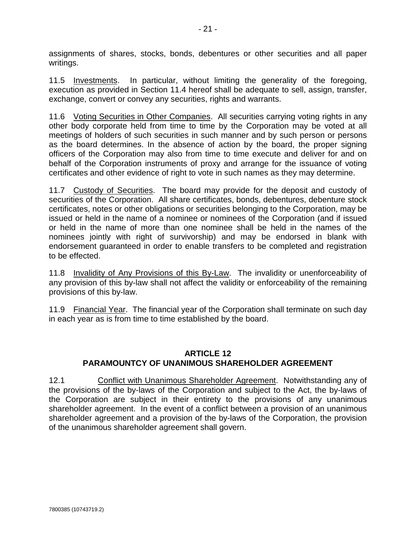assignments of shares, stocks, bonds, debentures or other securities and all paper writings.

11.5 Investments. In particular, without limiting the generality of the foregoing, execution as provided in Section 11.4 hereof shall be adequate to sell, assign, transfer, exchange, convert or convey any securities, rights and warrants.

11.6 Voting Securities in Other Companies. All securities carrying voting rights in any other body corporate held from time to time by the Corporation may be voted at all meetings of holders of such securities in such manner and by such person or persons as the board determines. In the absence of action by the board, the proper signing officers of the Corporation may also from time to time execute and deliver for and on behalf of the Corporation instruments of proxy and arrange for the issuance of voting certificates and other evidence of right to vote in such names as they may determine.

11.7 Custody of Securities. The board may provide for the deposit and custody of securities of the Corporation. All share certificates, bonds, debentures, debenture stock certificates, notes or other obligations or securities belonging to the Corporation, may be issued or held in the name of a nominee or nominees of the Corporation (and if issued or held in the name of more than one nominee shall be held in the names of the nominees jointly with right of survivorship) and may be endorsed in blank with endorsement guaranteed in order to enable transfers to be completed and registration to be effected.

11.8 Invalidity of Any Provisions of this By-Law. The invalidity or unenforceability of any provision of this by-law shall not affect the validity or enforceability of the remaining provisions of this by-law.

11.9 Financial Year. The financial year of the Corporation shall terminate on such day in each year as is from time to time established by the board.

## **ARTICLE 12 PARAMOUNTCY OF UNANIMOUS SHAREHOLDER AGREEMENT**

12.1 Conflict with Unanimous Shareholder Agreement. Notwithstanding any of the provisions of the by-laws of the Corporation and subject to the Act, the by-laws of the Corporation are subject in their entirety to the provisions of any unanimous shareholder agreement. In the event of a conflict between a provision of an unanimous shareholder agreement and a provision of the by-laws of the Corporation, the provision of the unanimous shareholder agreement shall govern.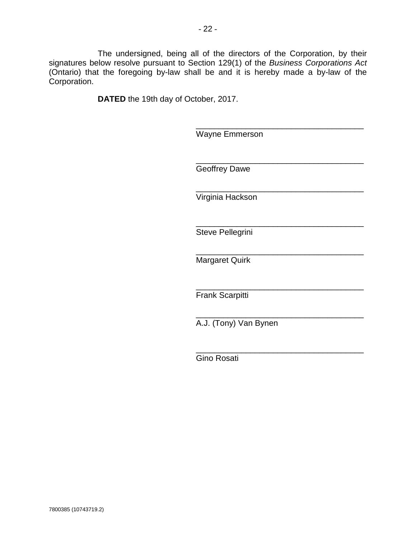The undersigned, being all of the directors of the Corporation, by their signatures below resolve pursuant to Section 129(1) of the *Business Corporations Act* (Ontario) that the foregoing by-law shall be and it is hereby made a by-law of the Corporation.

**DATED** the 19th day of October, 2017.

\_\_\_\_\_\_\_\_\_\_\_\_\_\_\_\_\_\_\_\_\_\_\_\_\_\_\_\_\_\_\_\_\_\_\_\_\_ Wayne Emmerson

\_\_\_\_\_\_\_\_\_\_\_\_\_\_\_\_\_\_\_\_\_\_\_\_\_\_\_\_\_\_\_\_\_\_\_\_\_ Geoffrey Dawe

\_\_\_\_\_\_\_\_\_\_\_\_\_\_\_\_\_\_\_\_\_\_\_\_\_\_\_\_\_\_\_\_\_\_\_\_\_ Virginia Hackson

\_\_\_\_\_\_\_\_\_\_\_\_\_\_\_\_\_\_\_\_\_\_\_\_\_\_\_\_\_\_\_\_\_\_\_\_\_ Steve Pellegrini

\_\_\_\_\_\_\_\_\_\_\_\_\_\_\_\_\_\_\_\_\_\_\_\_\_\_\_\_\_\_\_\_\_\_\_\_\_ Margaret Quirk

\_\_\_\_\_\_\_\_\_\_\_\_\_\_\_\_\_\_\_\_\_\_\_\_\_\_\_\_\_\_\_\_\_\_\_\_\_ Frank Scarpitti

\_\_\_\_\_\_\_\_\_\_\_\_\_\_\_\_\_\_\_\_\_\_\_\_\_\_\_\_\_\_\_\_\_\_\_\_\_ A.J. (Tony) Van Bynen

\_\_\_\_\_\_\_\_\_\_\_\_\_\_\_\_\_\_\_\_\_\_\_\_\_\_\_\_\_\_\_\_\_\_\_\_\_ Gino Rosati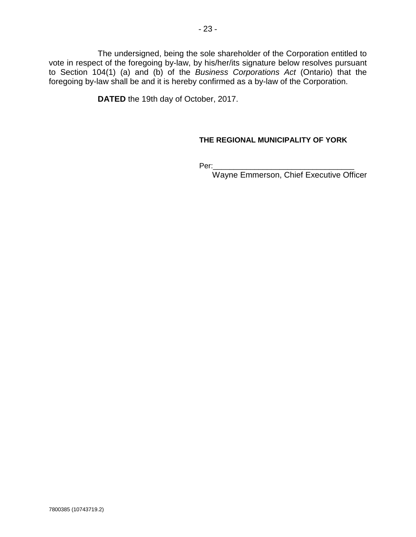The undersigned, being the sole shareholder of the Corporation entitled to vote in respect of the foregoing by-law, by his/her/its signature below resolves pursuant to Section 104(1) (a) and (b) of the *Business Corporations Act* (Ontario) that the foregoing by-law shall be and it is hereby confirmed as a by-law of the Corporation.

**DATED** the 19th day of October, 2017.

## **THE REGIONAL MUNICIPALITY OF YORK**

Per:\_\_\_\_\_\_\_\_\_\_\_\_\_\_\_\_\_\_\_\_\_\_\_\_\_\_\_\_\_\_\_\_\_\_

Wayne Emmerson, Chief Executive Officer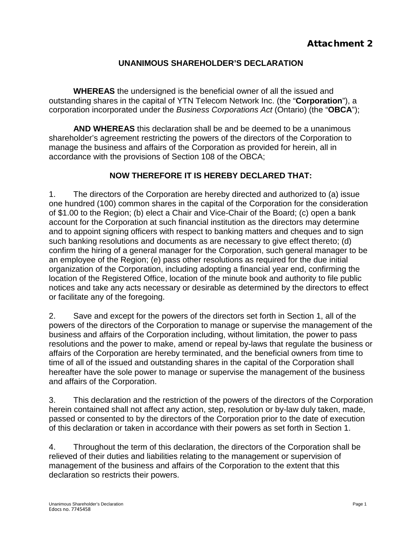## **UNANIMOUS SHAREHOLDER'S DECLARATION**

**WHEREAS** the undersigned is the beneficial owner of all the issued and outstanding shares in the capital of YTN Telecom Network Inc. (the "**Corporation**"), a corporation incorporated under the *Business Corporations Act* (Ontario) (the "**OBCA**");

**AND WHEREAS** this declaration shall be and be deemed to be a unanimous shareholder's agreement restricting the powers of the directors of the Corporation to manage the business and affairs of the Corporation as provided for herein, all in accordance with the provisions of Section 108 of the OBCA;

## **NOW THEREFORE IT IS HEREBY DECLARED THAT:**

1. The directors of the Corporation are hereby directed and authorized to (a) issue one hundred (100) common shares in the capital of the Corporation for the consideration of \$1.00 to the Region; (b) elect a Chair and Vice-Chair of the Board; (c) open a bank account for the Corporation at such financial institution as the directors may determine and to appoint signing officers with respect to banking matters and cheques and to sign such banking resolutions and documents as are necessary to give effect thereto; (d) confirm the hiring of a general manager for the Corporation, such general manager to be an employee of the Region; (e) pass other resolutions as required for the due initial organization of the Corporation, including adopting a financial year end, confirming the location of the Registered Office, location of the minute book and authority to file public notices and take any acts necessary or desirable as determined by the directors to effect or facilitate any of the foregoing.

2. Save and except for the powers of the directors set forth in Section 1, all of the powers of the directors of the Corporation to manage or supervise the management of the business and affairs of the Corporation including, without limitation, the power to pass resolutions and the power to make, amend or repeal by-laws that regulate the business or affairs of the Corporation are hereby terminated, and the beneficial owners from time to time of all of the issued and outstanding shares in the capital of the Corporation shall hereafter have the sole power to manage or supervise the management of the business and affairs of the Corporation.

3. This declaration and the restriction of the powers of the directors of the Corporation herein contained shall not affect any action, step, resolution or by-law duly taken, made, passed or consented to by the directors of the Corporation prior to the date of execution of this declaration or taken in accordance with their powers as set forth in Section 1.

4. Throughout the term of this declaration, the directors of the Corporation shall be relieved of their duties and liabilities relating to the management or supervision of management of the business and affairs of the Corporation to the extent that this declaration so restricts their powers.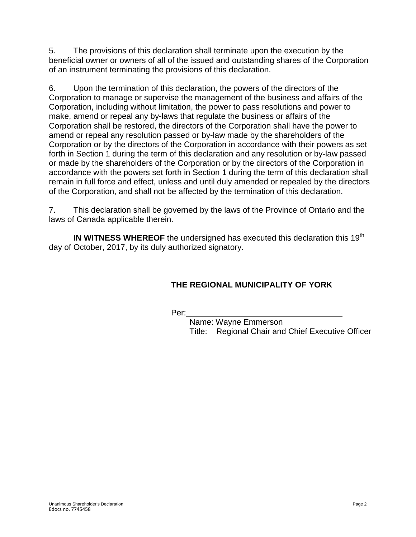5. The provisions of this declaration shall terminate upon the execution by the beneficial owner or owners of all of the issued and outstanding shares of the Corporation of an instrument terminating the provisions of this declaration.

6. Upon the termination of this declaration, the powers of the directors of the Corporation to manage or supervise the management of the business and affairs of the Corporation, including without limitation, the power to pass resolutions and power to make, amend or repeal any by-laws that regulate the business or affairs of the Corporation shall be restored, the directors of the Corporation shall have the power to amend or repeal any resolution passed or by-law made by the shareholders of the Corporation or by the directors of the Corporation in accordance with their powers as set forth in Section 1 during the term of this declaration and any resolution or by-law passed or made by the shareholders of the Corporation or by the directors of the Corporation in accordance with the powers set forth in Section 1 during the term of this declaration shall remain in full force and effect, unless and until duly amended or repealed by the directors of the Corporation, and shall not be affected by the termination of this declaration.

7. This declaration shall be governed by the laws of the Province of Ontario and the laws of Canada applicable therein.

**IN WITNESS WHEREOF** the undersigned has executed this declaration this 19<sup>th</sup> day of October, 2017, by its duly authorized signatory.

## **THE REGIONAL MUNICIPALITY OF YORK**

Per:

Name: Wayne Emmerson Title: Regional Chair and Chief Executive Officer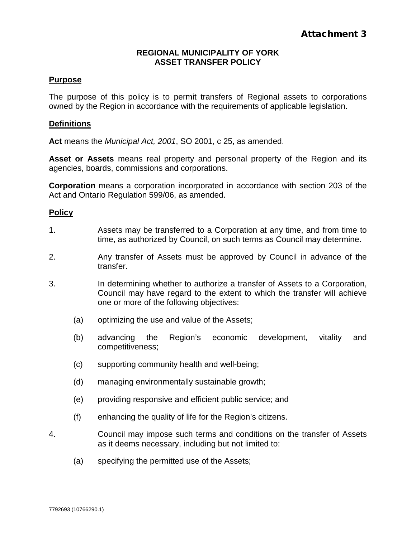#### **REGIONAL MUNICIPALITY OF YORK ASSET TRANSFER POLICY**

### **Purpose**

The purpose of this policy is to permit transfers of Regional assets to corporations owned by the Region in accordance with the requirements of applicable legislation.

#### **Definitions**

**Act** means the *Municipal Act, 2001*, SO 2001, c 25, as amended.

**Asset or Assets** means real property and personal property of the Region and its agencies, boards, commissions and corporations.

**Corporation** means a corporation incorporated in accordance with section 203 of the Act and Ontario Regulation 599/06, as amended.

#### **Policy**

- 1. Assets may be transferred to a Corporation at any time, and from time to time, as authorized by Council, on such terms as Council may determine.
- 2. Any transfer of Assets must be approved by Council in advance of the transfer.
- 3. In determining whether to authorize a transfer of Assets to a Corporation, Council may have regard to the extent to which the transfer will achieve one or more of the following objectives:
	- (a) optimizing the use and value of the Assets;
	- (b) advancing the Region's economic development, vitality and competitiveness;
	- (c) supporting community health and well-being;
	- (d) managing environmentally sustainable growth;
	- (e) providing responsive and efficient public service; and
	- (f) enhancing the quality of life for the Region's citizens.
- 4. Council may impose such terms and conditions on the transfer of Assets as it deems necessary, including but not limited to:
	- (a) specifying the permitted use of the Assets;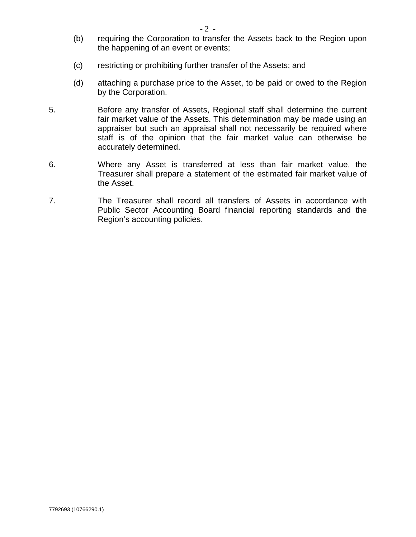- (b) requiring the Corporation to transfer the Assets back to the Region upon the happening of an event or events;
- (c) restricting or prohibiting further transfer of the Assets; and
- (d) attaching a purchase price to the Asset, to be paid or owed to the Region by the Corporation.
- 5. Before any transfer of Assets, Regional staff shall determine the current fair market value of the Assets. This determination may be made using an appraiser but such an appraisal shall not necessarily be required where staff is of the opinion that the fair market value can otherwise be accurately determined.
- 6. Where any Asset is transferred at less than fair market value, the Treasurer shall prepare a statement of the estimated fair market value of the Asset.
- 7. The Treasurer shall record all transfers of Assets in accordance with Public Sector Accounting Board financial reporting standards and the Region's accounting policies.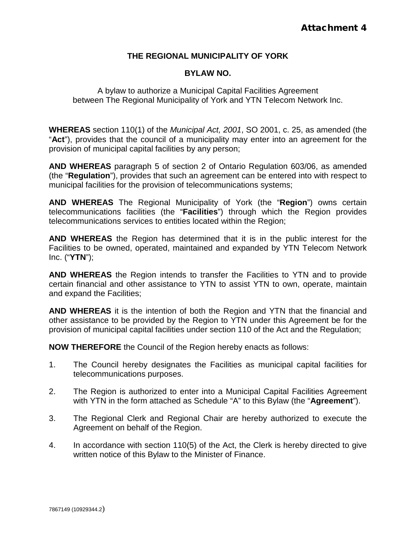## **THE REGIONAL MUNICIPALITY OF YORK**

### **BYLAW NO.**

A bylaw to authorize a Municipal Capital Facilities Agreement between The Regional Municipality of York and YTN Telecom Network Inc.

**WHEREAS** section 110(1) of the *Municipal Act, 2001*, SO 2001, c. 25, as amended (the "**Act**"), provides that the council of a municipality may enter into an agreement for the provision of municipal capital facilities by any person;

**AND WHEREAS** paragraph 5 of section 2 of Ontario Regulation 603/06, as amended (the "**Regulation**"), provides that such an agreement can be entered into with respect to municipal facilities for the provision of telecommunications systems;

**AND WHEREAS** The Regional Municipality of York (the "**Region**") owns certain telecommunications facilities (the "**Facilities**") through which the Region provides telecommunications services to entities located within the Region;

**AND WHEREAS** the Region has determined that it is in the public interest for the Facilities to be owned, operated, maintained and expanded by YTN Telecom Network Inc. ("**YTN**");

**AND WHEREAS** the Region intends to transfer the Facilities to YTN and to provide certain financial and other assistance to YTN to assist YTN to own, operate, maintain and expand the Facilities;

**AND WHEREAS** it is the intention of both the Region and YTN that the financial and other assistance to be provided by the Region to YTN under this Agreement be for the provision of municipal capital facilities under section 110 of the Act and the Regulation;

**NOW THEREFORE** the Council of the Region hereby enacts as follows:

- 1. The Council hereby designates the Facilities as municipal capital facilities for telecommunications purposes.
- 2. The Region is authorized to enter into a Municipal Capital Facilities Agreement with YTN in the form attached as Schedule "A" to this Bylaw (the "**Agreement**").
- 3. The Regional Clerk and Regional Chair are hereby authorized to execute the Agreement on behalf of the Region.
- 4. In accordance with section 110(5) of the Act, the Clerk is hereby directed to give written notice of this Bylaw to the Minister of Finance.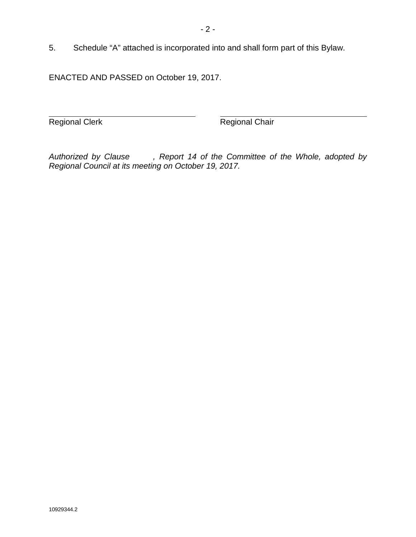5. Schedule "A" attached is incorporated into and shall form part of this Bylaw.

ENACTED AND PASSED on October 19, 2017.

 $\overline{a}$ 

Regional Clerk Regional Chair

*Authorized by Clause , Report 14 of the Committee of the Whole, adopted by Regional Council at its meeting on October 19, 2017.*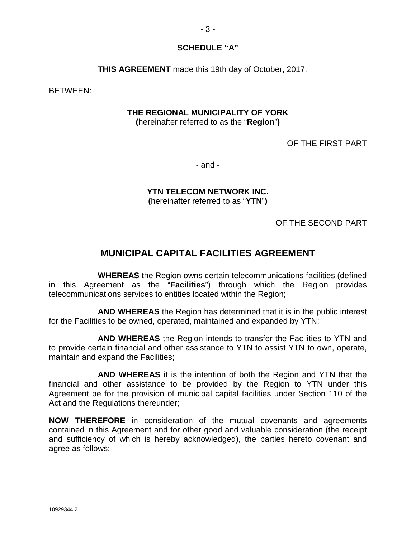- 3 -

**THIS AGREEMENT** made this 19th day of October, 2017.

BETWEEN:

#### **THE REGIONAL MUNICIPALITY OF YORK**

**(**hereinafter referred to as the "**Region**"**)** 

OF THE FIRST PART

- and -

### **YTN TELECOM NETWORK INC. (**hereinafter referred to as "**YTN**"**)**

OF THE SECOND PART

# **MUNICIPAL CAPITAL FACILITIES AGREEMENT**

**WHEREAS** the Region owns certain telecommunications facilities (defined in this Agreement as the "**Facilities**") through which the Region provides telecommunications services to entities located within the Region;

**AND WHEREAS** the Region has determined that it is in the public interest for the Facilities to be owned, operated, maintained and expanded by YTN;

**AND WHEREAS** the Region intends to transfer the Facilities to YTN and to provide certain financial and other assistance to YTN to assist YTN to own, operate, maintain and expand the Facilities;

**AND WHEREAS** it is the intention of both the Region and YTN that the financial and other assistance to be provided by the Region to YTN under this Agreement be for the provision of municipal capital facilities under Section 110 of the Act and the Regulations thereunder;

**NOW THEREFORE** in consideration of the mutual covenants and agreements contained in this Agreement and for other good and valuable consideration (the receipt and sufficiency of which is hereby acknowledged), the parties hereto covenant and agree as follows: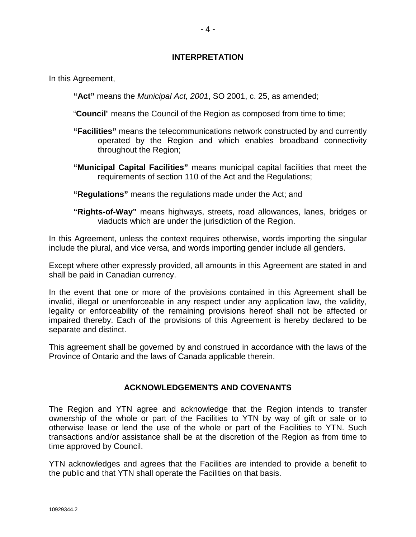### **INTERPRETATION**

In this Agreement,

**"Act"** means the *Municipal Act, 2001*, SO 2001, c. 25, as amended;

"**Council**" means the Council of the Region as composed from time to time;

- **"Facilities"** means the telecommunications network constructed by and currently operated by the Region and which enables broadband connectivity throughout the Region;
- **"Municipal Capital Facilities"** means municipal capital facilities that meet the requirements of section 110 of the Act and the Regulations;

**"Regulations"** means the regulations made under the Act; and

**"Rights-of-Way"** means highways, streets, road allowances, lanes, bridges or viaducts which are under the jurisdiction of the Region.

In this Agreement, unless the context requires otherwise, words importing the singular include the plural, and vice versa, and words importing gender include all genders.

Except where other expressly provided, all amounts in this Agreement are stated in and shall be paid in Canadian currency.

In the event that one or more of the provisions contained in this Agreement shall be invalid, illegal or unenforceable in any respect under any application law, the validity, legality or enforceability of the remaining provisions hereof shall not be affected or impaired thereby. Each of the provisions of this Agreement is hereby declared to be separate and distinct.

This agreement shall be governed by and construed in accordance with the laws of the Province of Ontario and the laws of Canada applicable therein.

### **ACKNOWLEDGEMENTS AND COVENANTS**

The Region and YTN agree and acknowledge that the Region intends to transfer ownership of the whole or part of the Facilities to YTN by way of gift or sale or to otherwise lease or lend the use of the whole or part of the Facilities to YTN. Such transactions and/or assistance shall be at the discretion of the Region as from time to time approved by Council.

YTN acknowledges and agrees that the Facilities are intended to provide a benefit to the public and that YTN shall operate the Facilities on that basis.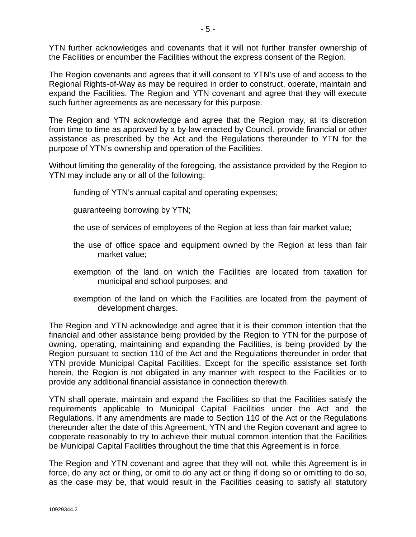YTN further acknowledges and covenants that it will not further transfer ownership of the Facilities or encumber the Facilities without the express consent of the Region.

The Region covenants and agrees that it will consent to YTN's use of and access to the Regional Rights-of-Way as may be required in order to construct, operate, maintain and expand the Facilities. The Region and YTN covenant and agree that they will execute such further agreements as are necessary for this purpose.

The Region and YTN acknowledge and agree that the Region may, at its discretion from time to time as approved by a by-law enacted by Council, provide financial or other assistance as prescribed by the Act and the Regulations thereunder to YTN for the purpose of YTN's ownership and operation of the Facilities.

Without limiting the generality of the foregoing, the assistance provided by the Region to YTN may include any or all of the following:

funding of YTN's annual capital and operating expenses;

guaranteeing borrowing by YTN;

the use of services of employees of the Region at less than fair market value;

- the use of office space and equipment owned by the Region at less than fair market value;
- exemption of the land on which the Facilities are located from taxation for municipal and school purposes; and
- exemption of the land on which the Facilities are located from the payment of development charges.

The Region and YTN acknowledge and agree that it is their common intention that the financial and other assistance being provided by the Region to YTN for the purpose of owning, operating, maintaining and expanding the Facilities, is being provided by the Region pursuant to section 110 of the Act and the Regulations thereunder in order that YTN provide Municipal Capital Facilities. Except for the specific assistance set forth herein, the Region is not obligated in any manner with respect to the Facilities or to provide any additional financial assistance in connection therewith.

YTN shall operate, maintain and expand the Facilities so that the Facilities satisfy the requirements applicable to Municipal Capital Facilities under the Act and the Regulations. If any amendments are made to Section 110 of the Act or the Regulations thereunder after the date of this Agreement, YTN and the Region covenant and agree to cooperate reasonably to try to achieve their mutual common intention that the Facilities be Municipal Capital Facilities throughout the time that this Agreement is in force.

The Region and YTN covenant and agree that they will not, while this Agreement is in force, do any act or thing, or omit to do any act or thing if doing so or omitting to do so, as the case may be, that would result in the Facilities ceasing to satisfy all statutory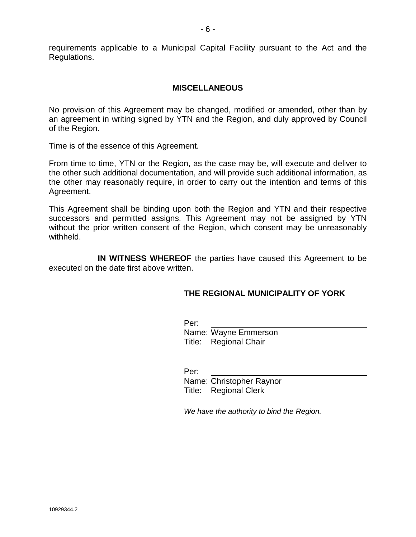requirements applicable to a Municipal Capital Facility pursuant to the Act and the Regulations.

### **MISCELLANEOUS**

No provision of this Agreement may be changed, modified or amended, other than by an agreement in writing signed by YTN and the Region, and duly approved by Council of the Region.

Time is of the essence of this Agreement.

From time to time, YTN or the Region, as the case may be, will execute and deliver to the other such additional documentation, and will provide such additional information, as the other may reasonably require, in order to carry out the intention and terms of this Agreement.

This Agreement shall be binding upon both the Region and YTN and their respective successors and permitted assigns. This Agreement may not be assigned by YTN without the prior written consent of the Region, which consent may be unreasonably withheld.

**IN WITNESS WHEREOF** the parties have caused this Agreement to be executed on the date first above written.

### **THE REGIONAL MUNICIPALITY OF YORK**

Per: Name: Wayne Emmerson Title: Regional Chair

Per:

Name: Christopher Raynor Title: Regional Clerk

*We have the authority to bind the Region.*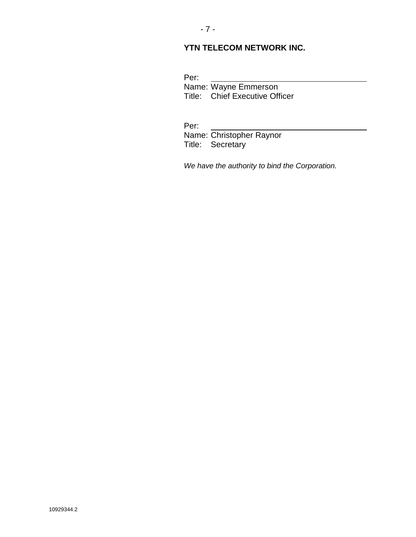## **YTN TELECOM NETWORK INC.**

Per: Name: Wayne Emmerson Title: Chief Executive Officer

Per:

Name: Christopher Raynor Title: Secretary

*We have the authority to bind the Corporation.*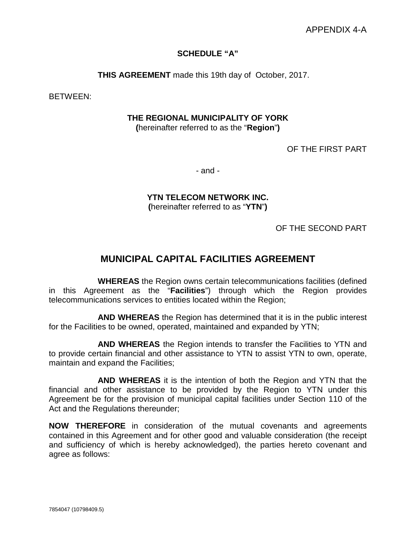### **SCHEDULE "A"**

**THIS AGREEMENT** made this 19th day of October, 2017.

BETWEEN:

### **THE REGIONAL MUNICIPALITY OF YORK**

**(**hereinafter referred to as the "**Region**"**)** 

OF THE FIRST PART

- and -

## **YTN TELECOM NETWORK INC.**

**(**hereinafter referred to as "**YTN**"**)** 

OF THE SECOND PART

# **MUNICIPAL CAPITAL FACILITIES AGREEMENT**

**WHEREAS** the Region owns certain telecommunications facilities (defined in this Agreement as the "**Facilities**") through which the Region provides telecommunications services to entities located within the Region;

**AND WHEREAS** the Region has determined that it is in the public interest for the Facilities to be owned, operated, maintained and expanded by YTN;

**AND WHEREAS** the Region intends to transfer the Facilities to YTN and to provide certain financial and other assistance to YTN to assist YTN to own, operate, maintain and expand the Facilities;

**AND WHEREAS** it is the intention of both the Region and YTN that the financial and other assistance to be provided by the Region to YTN under this Agreement be for the provision of municipal capital facilities under Section 110 of the Act and the Regulations thereunder;

**NOW THEREFORE** in consideration of the mutual covenants and agreements contained in this Agreement and for other good and valuable consideration (the receipt and sufficiency of which is hereby acknowledged), the parties hereto covenant and agree as follows: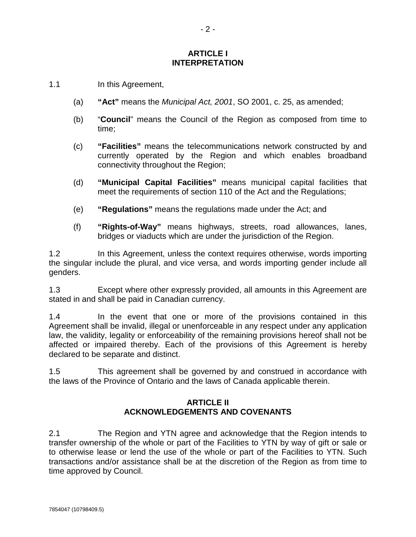#### **ARTICLE I INTERPRETATION**

- 1.1 In this Agreement,
	- (a) **"Act"** means the *Municipal Act, 2001*, SO 2001, c. 25, as amended;
	- (b) "**Council**" means the Council of the Region as composed from time to time;
	- (c) **"Facilities"** means the telecommunications network constructed by and currently operated by the Region and which enables broadband connectivity throughout the Region;
	- (d) **"Municipal Capital Facilities"** means municipal capital facilities that meet the requirements of section 110 of the Act and the Regulations;
	- (e) **"Regulations"** means the regulations made under the Act; and
	- (f) **"Rights-of-Way"** means highways, streets, road allowances, lanes, bridges or viaducts which are under the jurisdiction of the Region.

1.2 In this Agreement, unless the context requires otherwise, words importing the singular include the plural, and vice versa, and words importing gender include all genders.

1.3 Except where other expressly provided, all amounts in this Agreement are stated in and shall be paid in Canadian currency.

1.4 In the event that one or more of the provisions contained in this Agreement shall be invalid, illegal or unenforceable in any respect under any application law, the validity, legality or enforceability of the remaining provisions hereof shall not be affected or impaired thereby. Each of the provisions of this Agreement is hereby declared to be separate and distinct.

1.5 This agreement shall be governed by and construed in accordance with the laws of the Province of Ontario and the laws of Canada applicable therein.

### **ARTICLE II ACKNOWLEDGEMENTS AND COVENANTS**

2.1 The Region and YTN agree and acknowledge that the Region intends to transfer ownership of the whole or part of the Facilities to YTN by way of gift or sale or to otherwise lease or lend the use of the whole or part of the Facilities to YTN. Such transactions and/or assistance shall be at the discretion of the Region as from time to time approved by Council.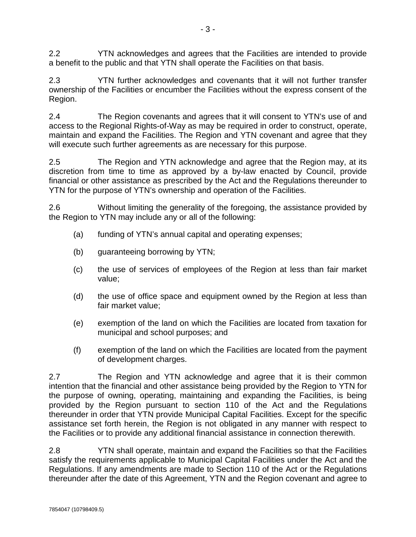2.2 YTN acknowledges and agrees that the Facilities are intended to provide a benefit to the public and that YTN shall operate the Facilities on that basis.

2.3 YTN further acknowledges and covenants that it will not further transfer ownership of the Facilities or encumber the Facilities without the express consent of the Region.

2.4 The Region covenants and agrees that it will consent to YTN's use of and access to the Regional Rights-of-Way as may be required in order to construct, operate, maintain and expand the Facilities. The Region and YTN covenant and agree that they will execute such further agreements as are necessary for this purpose.

2.5 The Region and YTN acknowledge and agree that the Region may, at its discretion from time to time as approved by a by-law enacted by Council, provide financial or other assistance as prescribed by the Act and the Regulations thereunder to YTN for the purpose of YTN's ownership and operation of the Facilities.

2.6 Without limiting the generality of the foregoing, the assistance provided by the Region to YTN may include any or all of the following:

- (a) funding of YTN's annual capital and operating expenses;
- (b) guaranteeing borrowing by YTN;
- (c) the use of services of employees of the Region at less than fair market value;
- (d) the use of office space and equipment owned by the Region at less than fair market value;
- (e) exemption of the land on which the Facilities are located from taxation for municipal and school purposes; and
- (f) exemption of the land on which the Facilities are located from the payment of development charges.

2.7 The Region and YTN acknowledge and agree that it is their common intention that the financial and other assistance being provided by the Region to YTN for the purpose of owning, operating, maintaining and expanding the Facilities, is being provided by the Region pursuant to section 110 of the Act and the Regulations thereunder in order that YTN provide Municipal Capital Facilities. Except for the specific assistance set forth herein, the Region is not obligated in any manner with respect to the Facilities or to provide any additional financial assistance in connection therewith.

2.8 YTN shall operate, maintain and expand the Facilities so that the Facilities satisfy the requirements applicable to Municipal Capital Facilities under the Act and the Regulations. If any amendments are made to Section 110 of the Act or the Regulations thereunder after the date of this Agreement, YTN and the Region covenant and agree to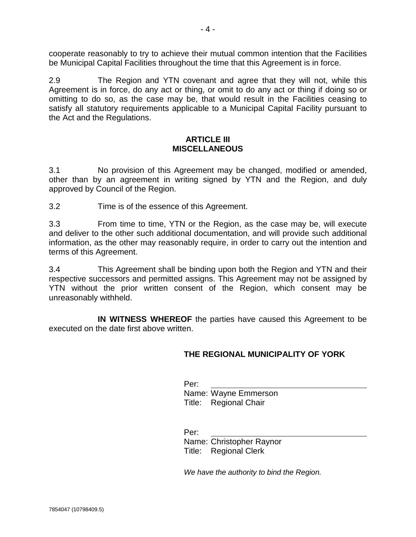cooperate reasonably to try to achieve their mutual common intention that the Facilities be Municipal Capital Facilities throughout the time that this Agreement is in force.

2.9 The Region and YTN covenant and agree that they will not, while this Agreement is in force, do any act or thing, or omit to do any act or thing if doing so or omitting to do so, as the case may be, that would result in the Facilities ceasing to satisfy all statutory requirements applicable to a Municipal Capital Facility pursuant to the Act and the Regulations.

#### **ARTICLE III MISCELLANEOUS**

3.1 No provision of this Agreement may be changed, modified or amended, other than by an agreement in writing signed by YTN and the Region, and duly approved by Council of the Region.

3.2 Time is of the essence of this Agreement.

3.3 From time to time, YTN or the Region, as the case may be, will execute and deliver to the other such additional documentation, and will provide such additional information, as the other may reasonably require, in order to carry out the intention and terms of this Agreement.

3.4 This Agreement shall be binding upon both the Region and YTN and their respective successors and permitted assigns. This Agreement may not be assigned by YTN without the prior written consent of the Region, which consent may be unreasonably withheld.

**IN WITNESS WHEREOF** the parties have caused this Agreement to be executed on the date first above written.

## **THE REGIONAL MUNICIPALITY OF YORK**

Per:

Name: Wayne Emmerson Title: Regional Chair

Per:

Name: Christopher Raynor Title: Regional Clerk

*We have the authority to bind the Region.*